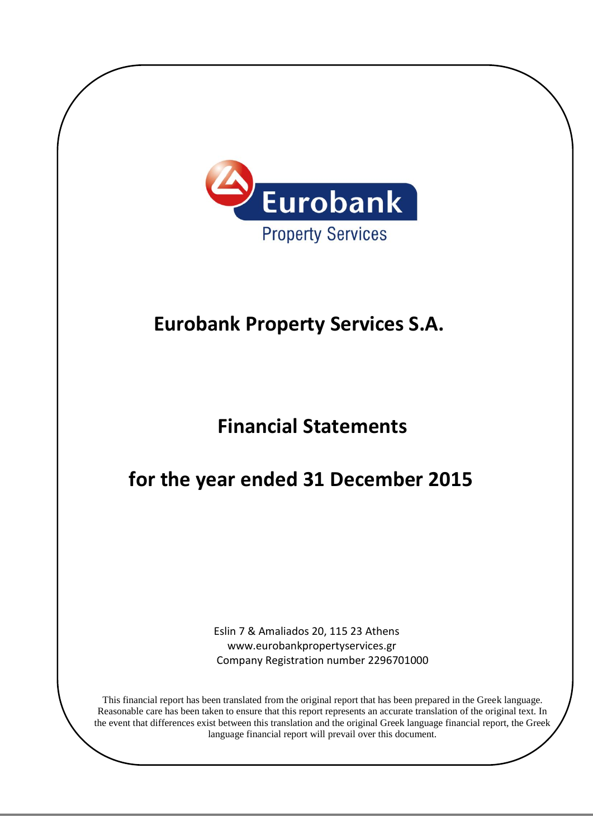

# **Eurobank Property Services S.A.**

# **Financial Statements**

# **for the year ended 31 December 2015**

Eslin 7 & Amaliados 20, 115 23 Athens www.eurobankpropertyservices.gr Company Registration number 2296701000

This financial report has been translated from the original report that has been prepared in the Greek language. Reasonable care has been taken to ensure that this report represents an accurate translation of the original text. In the event that differences exist between this translation and the original Greek language financial report, the Greek language financial report will prevail over this document.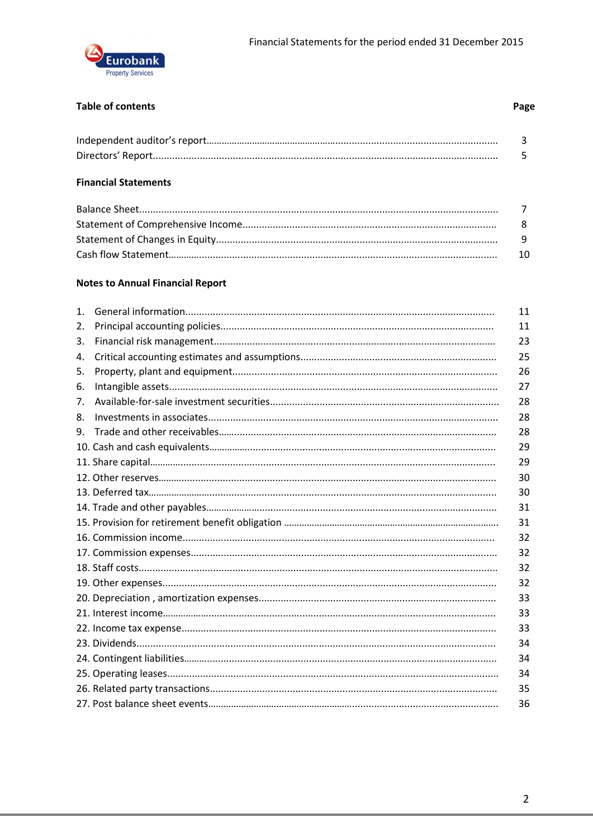

### **Table of contents**

#### $\mathsf 3$ 5

#### **Financial Statements**

| - 10 |
|------|

#### **Notes to Annual Financial Report**

| 1. | 11 |
|----|----|
| 2. | 11 |
| 3. | 23 |
| 4. | 25 |
| 5. | 26 |
| 6. | 27 |
| 7. | 28 |
| 8. | 28 |
| 9. | 28 |
|    | 29 |
|    | 29 |
|    | 30 |
|    | 30 |
|    | 31 |
|    | 31 |
|    | 32 |
|    | 32 |
|    | 32 |
|    | 32 |
|    | 33 |
|    | 33 |
|    | 33 |
|    | 34 |
|    | 34 |
|    | 34 |
|    | 35 |
|    | 36 |

Page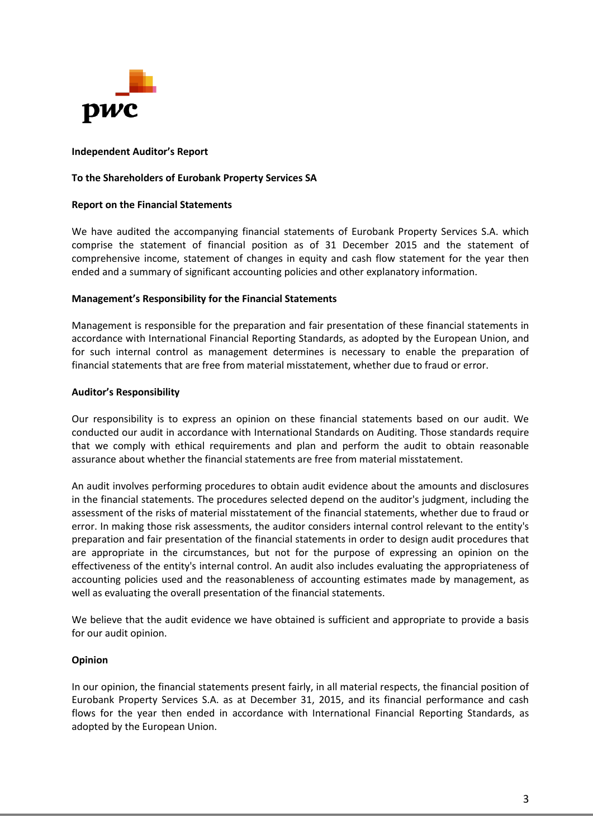

#### **Independent Auditor's Report**

#### **To the Shareholders of Eurobank Property Services SA**

#### **Report on the Financial Statements**

We have audited the accompanying financial statements of Eurobank Property Services S.A. which comprise the statement of financial position as of 31 December 2015 and the statement of comprehensive income, statement of changes in equity and cash flow statement for the year then ended and a summary of significant accounting policies and other explanatory information.

#### **Management's Responsibility for the Financial Statements**

Management is responsible for the preparation and fair presentation of these financial statements in accordance with International Financial Reporting Standards, as adopted by the European Union, and for such internal control as management determines is necessary to enable the preparation of financial statements that are free from material misstatement, whether due to fraud or error.

#### **Auditor's Responsibility**

Our responsibility is to express an opinion on these financial statements based on our audit. We conducted our audit in accordance with International Standards on Auditing. Those standards require that we comply with ethical requirements and plan and perform the audit to obtain reasonable assurance about whether the financial statements are free from material misstatement.

An audit involves performing procedures to obtain audit evidence about the amounts and disclosures in the financial statements. The procedures selected depend on the auditor's judgment, including the assessment of the risks of material misstatement of the financial statements, whether due to fraud or error. In making those risk assessments, the auditor considers internal control relevant to the entity's preparation and fair presentation of the financial statements in order to design audit procedures that are appropriate in the circumstances, but not for the purpose of expressing an opinion on the effectiveness of the entity's internal control. An audit also includes evaluating the appropriateness of accounting policies used and the reasonableness of accounting estimates made by management, as well as evaluating the overall presentation of the financial statements.

We believe that the audit evidence we have obtained is sufficient and appropriate to provide a basis for our audit opinion.

#### **Opinion**

In our opinion, the financial statements present fairly, in all material respects, the financial position of Eurobank Property Services S.A. as at December 31, 2015, and its financial performance and cash flows for the year then ended in accordance with International Financial Reporting Standards, as adopted by the European Union.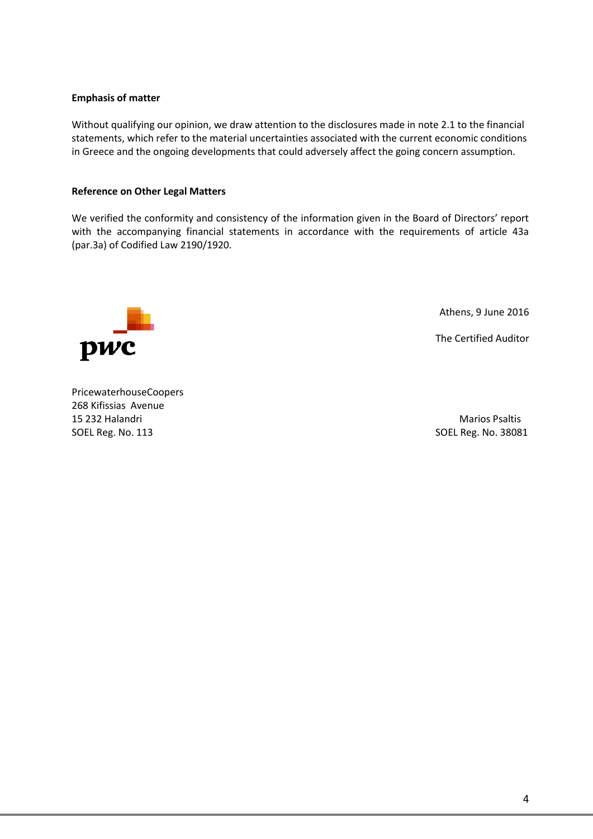#### **Emphasis of matter**

Without qualifying our opinion, we draw attention to the disclosures made in note 2.1 to the financial statements, which refer to the material uncertainties associated with the current economic conditions in Greece and the ongoing developments that could adversely affect the going concern assumption.

#### **Reference on Other Legal Matters**

We verified the conformity and consistency of the information given in the Board of Directors' report with the accompanying financial statements in accordance with the requirements of article 43a (par.3a) of Codified Law 2190/1920.



Athens, 9 June 2016

The Certified Auditor

PricewaterhouseCoopers 268 Kifissias Avenue 15 232 Halandri Marios Poeta (1999) - 15 232 Halandri Marios Psaltis SOEL Reg. No. 113 SOEL Reg. No. 38081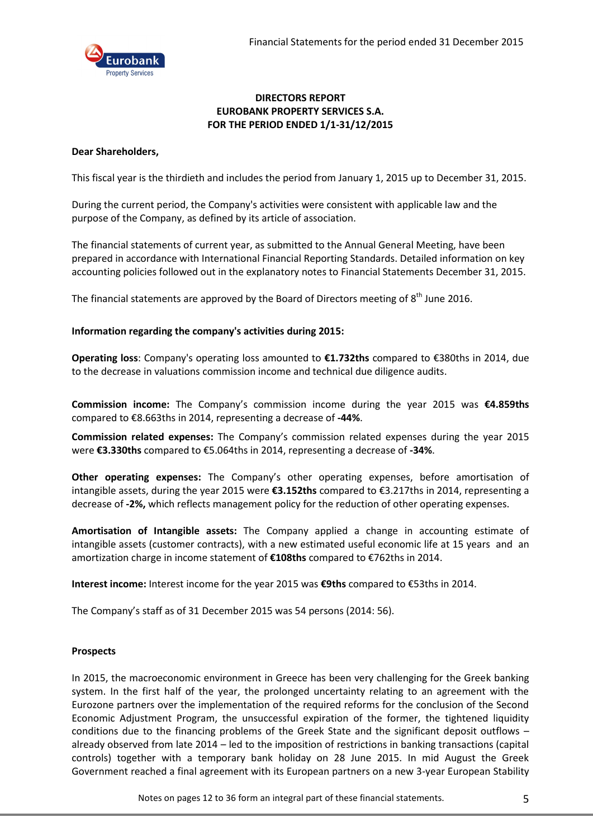

#### **DIRECTORS REPORT EUROBANK PROPERTY SERVICES S.A. FOR THE PERIOD ENDED 1/1-31/12/2015**

#### **Dear Shareholders,**

This fiscal year is the thirdieth and includes the period from January 1, 2015 up to December 31, 2015.

During the current period, the Company's activities were consistent with applicable law and the purpose of the Company, as defined by its article of association.

The financial statements of current year, as submitted to the Annual General Meeting, have been prepared in accordance with International Financial Reporting Standards. Detailed information on key accounting policies followed out in the explanatory notes to Financial Statements December 31, 2015.

The financial statements are approved by the Board of Directors meeting of  $8<sup>th</sup>$  June 2016.

#### **Information regarding the company's activities during 2015:**

**Operating loss**: Company's operating loss amounted to **€1.732ths** compared to €380ths in 2014, due to the decrease in valuations commission income and technical due diligence audits.

**Commission income:** The Company's commission income during the year 2015 was **€4.859ths** compared to €8.663ths in 2014, representing a decrease of **-44%**.

**Commission related expenses:** The Company's commission related expenses during the year 2015 were **€3.330ths** compared to €5.064ths in 2014, representing a decrease of **-34%**.

**Other operating expenses:** The Company's other operating expenses, before amortisation of intangible assets, during the year 2015 were **€3.152ths** compared to €3.217ths in 2014, representing a decrease of **-2%,** which reflects management policy for the reduction of other operating expenses.

**Amortisation of Intangible assets:** The Company applied a change in accounting estimate of intangible assets (customer contracts), with a new estimated useful economic life at 15 years and an amortization charge in income statement of **€108ths** compared to €762ths in 2014.

**Interest income:** Interest income for the year 2015 was **€9ths** compared to €53ths in 2014.

The Company's staff as of 31 December 2015 was 54 persons (2014: 56).

#### **Prospects**

In 2015, the macroeconomic environment in Greece has been very challenging for the Greek banking system. In the first half of the year, the prolonged uncertainty relating to an agreement with the Eurozone partners over the implementation of the required reforms for the conclusion of the Second Economic Adjustment Program, the unsuccessful expiration of the former, the tightened liquidity conditions due to the financing problems of the Greek State and the significant deposit outflows – already observed from late 2014 – led to the imposition of restrictions in banking transactions (capital controls) together with a temporary bank holiday on 28 June 2015. In mid August the Greek Government reached a final agreement with its European partners on a new 3-year European Stability

Notes on pages 12 to 36 form an integral part of these financial statements. 5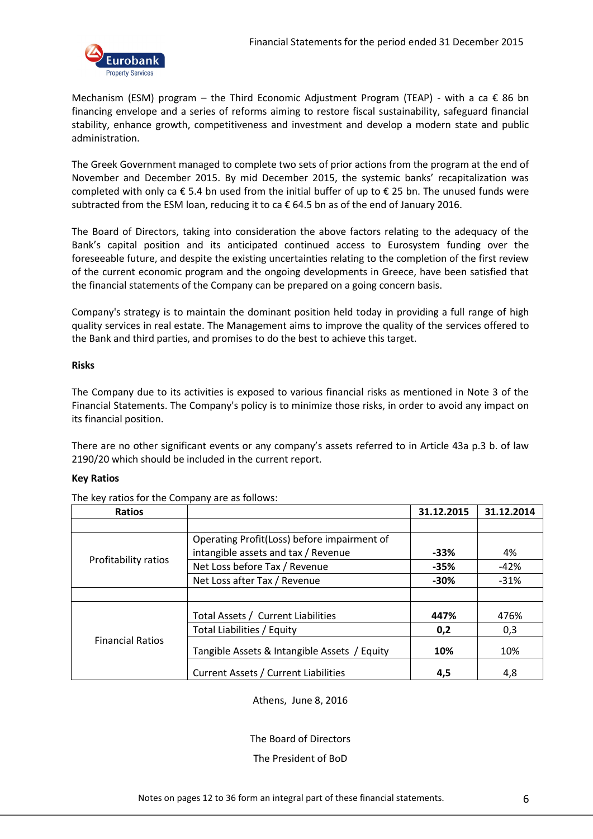

Mechanism (ESM) program – the Third Economic Adjustment Program (TEAP) - with a ca  $\epsilon$  86 bn financing envelope and a series of reforms aiming to restore fiscal sustainability, safeguard financial stability, enhance growth, competitiveness and investment and develop a modern state and public administration.

The Greek Government managed to complete two sets of prior actions from the program at the end of November and December 2015. By mid December 2015, the systemic banks' recapitalization was completed with only ca  $\epsilon$  5.4 bn used from the initial buffer of up to  $\epsilon$  25 bn. The unused funds were subtracted from the ESM loan, reducing it to ca  $\epsilon$  64.5 bn as of the end of January 2016.

The Board of Directors, taking into consideration the above factors relating to the adequacy of the Bank's capital position and its anticipated continued access to Eurosystem funding over the foreseeable future, and despite the existing uncertainties relating to the completion of the first review of the current economic program and the ongoing developments in Greece, have been satisfied that the financial statements of the Company can be prepared on a going concern basis.

Company's strategy is to maintain the dominant position held today in providing a full range of high quality services in real estate. The Management aims to improve the quality of the services offered to the Bank and third parties, and promises to do the best to achieve this target.

#### **Risks**

The Company due to its activities is exposed to various financial risks as mentioned in Note 3 of the Financial Statements. The Company's policy is to minimize those risks, in order to avoid any impact on its financial position.

There are no other significant events or any company's assets referred to in Article 43a p.3 b. of law 2190/20 which should be included in the current report.

#### **Key Ratios**

| <b>Ratios</b>           |                                              | 31.12.2015 | 31.12.2014 |
|-------------------------|----------------------------------------------|------------|------------|
|                         |                                              |            |            |
|                         | Operating Profit(Loss) before impairment of  |            |            |
|                         | intangible assets and tax / Revenue          | $-33%$     | 4%         |
| Profitability ratios    | Net Loss before Tax / Revenue                | $-35%$     | $-42%$     |
|                         | Net Loss after Tax / Revenue                 | $-30%$     | $-31%$     |
|                         |                                              |            |            |
|                         | Total Assets / Current Liabilities           | 447%       | 476%       |
|                         | Total Liabilities / Equity                   | 0,2        | 0,3        |
| <b>Financial Ratios</b> | Tangible Assets & Intangible Assets / Equity | 10%        | 10%        |
|                         | Current Assets / Current Liabilities         | 4,5        | 4,8        |

The key ratios for the Company are as follows:

Athens, June 8, 2016

The Board of Directors

The President of BoD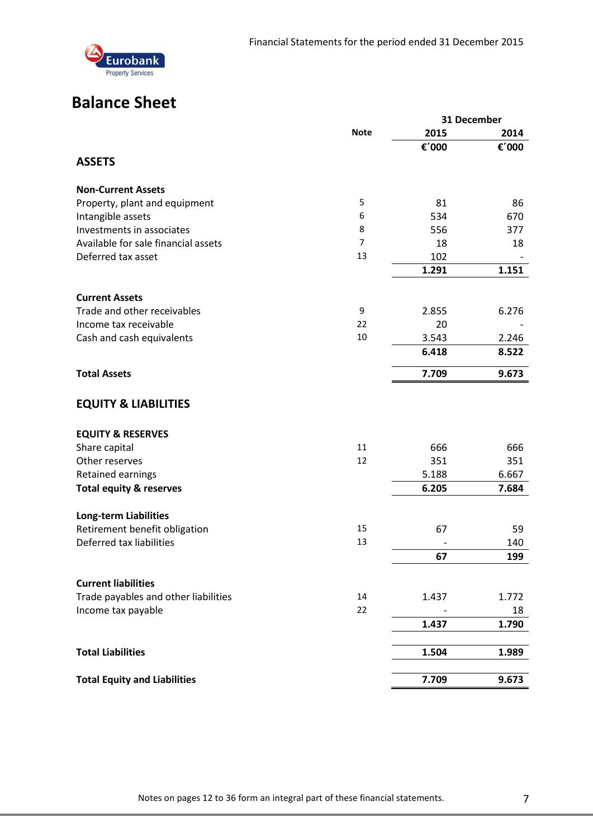

# **Balance Sheet**

|                                      |                | 31 December |       |
|--------------------------------------|----------------|-------------|-------|
|                                      | <b>Note</b>    | 2015        | 2014  |
|                                      |                | €'000       | €'000 |
| <b>ASSETS</b>                        |                |             |       |
| <b>Non-Current Assets</b>            |                |             |       |
| Property, plant and equipment        | 5              | 81          | 86    |
| Intangible assets                    | 6              | 534         | 670   |
| Investments in associates            | 8              | 556         | 377   |
| Available for sale financial assets  | $\overline{7}$ | 18          | 18    |
| Deferred tax asset                   | 13             | 102         |       |
|                                      |                | 1.291       | 1.151 |
| <b>Current Assets</b>                |                |             |       |
| Trade and other receivables          | 9              | 2.855       | 6.276 |
| Income tax receivable                | 22             | 20          |       |
| Cash and cash equivalents            | 10             | 3.543       | 2.246 |
|                                      |                | 6.418       | 8.522 |
| <b>Total Assets</b>                  |                | 7.709       | 9.673 |
|                                      |                |             |       |
| <b>EQUITY &amp; LIABILITIES</b>      |                |             |       |
| <b>EQUITY &amp; RESERVES</b>         |                |             |       |
| Share capital                        | 11             | 666         | 666   |
| Other reserves                       | 12             | 351         | 351   |
| Retained earnings                    |                | 5.188       | 6.667 |
| <b>Total equity &amp; reserves</b>   |                | 6.205       | 7.684 |
| <b>Long-term Liabilities</b>         |                |             |       |
| Retirement benefit obligation        | 15             | 67          | 59    |
| Deferred tax liabilities             | 13             |             | 140   |
|                                      |                | 67          | 199   |
|                                      |                |             |       |
| <b>Current liabilities</b>           |                |             |       |
| Trade payables and other liabilities | 14             | 1.437       | 1.772 |
| Income tax payable                   | 22             |             | 18    |
|                                      |                | 1.437       | 1.790 |
| <b>Total Liabilities</b>             |                | 1.504       | 1.989 |
|                                      |                |             |       |
| <b>Total Equity and Liabilities</b>  |                | 7.709       | 9.673 |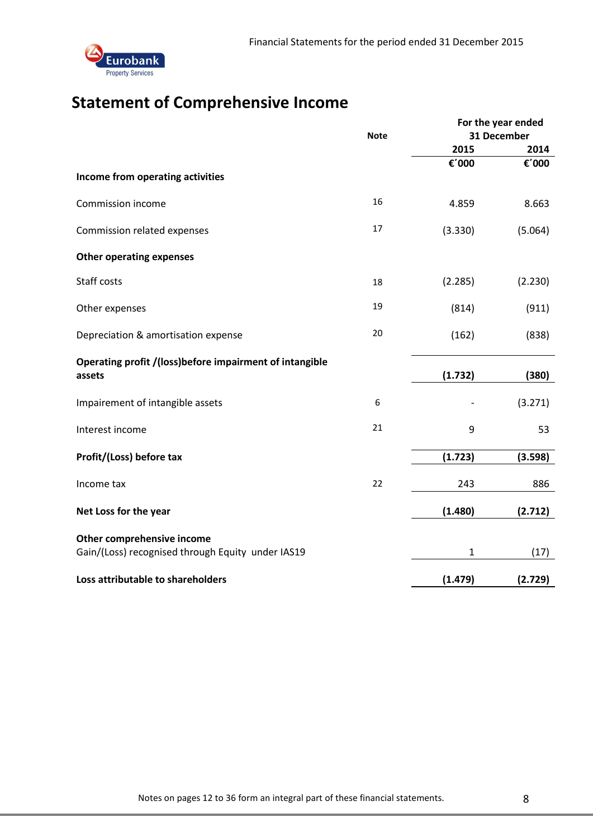

# **Statement of Comprehensive Income**

|                                                                                 |             | For the year ended |             |  |
|---------------------------------------------------------------------------------|-------------|--------------------|-------------|--|
|                                                                                 | <b>Note</b> |                    | 31 December |  |
|                                                                                 |             | 2015               | 2014        |  |
| Income from operating activities                                                |             | €'000              | €1000       |  |
| Commission income                                                               | 16          | 4.859              | 8.663       |  |
| Commission related expenses                                                     | 17          | (3.330)            | (5.064)     |  |
| <b>Other operating expenses</b>                                                 |             |                    |             |  |
| Staff costs                                                                     | 18          | (2.285)            | (2.230)     |  |
| Other expenses                                                                  | 19          | (814)              | (911)       |  |
| Depreciation & amortisation expense                                             | 20          | (162)              | (838)       |  |
| Operating profit /(loss)before impairment of intangible<br>assets               |             | (1.732)            | (380)       |  |
| Impairement of intangible assets                                                | 6           |                    | (3.271)     |  |
| Interest income                                                                 | 21          | 9                  | 53          |  |
| Profit/(Loss) before tax                                                        |             | (1.723)            | (3.598)     |  |
| Income tax                                                                      | 22          | 243                | 886         |  |
| Net Loss for the year                                                           |             | (1.480)            | (2.712)     |  |
| Other comprehensive income<br>Gain/(Loss) recognised through Equity under IAS19 |             | 1                  | (17)        |  |
| Loss attributable to shareholders                                               |             | (1.479)            | (2.729)     |  |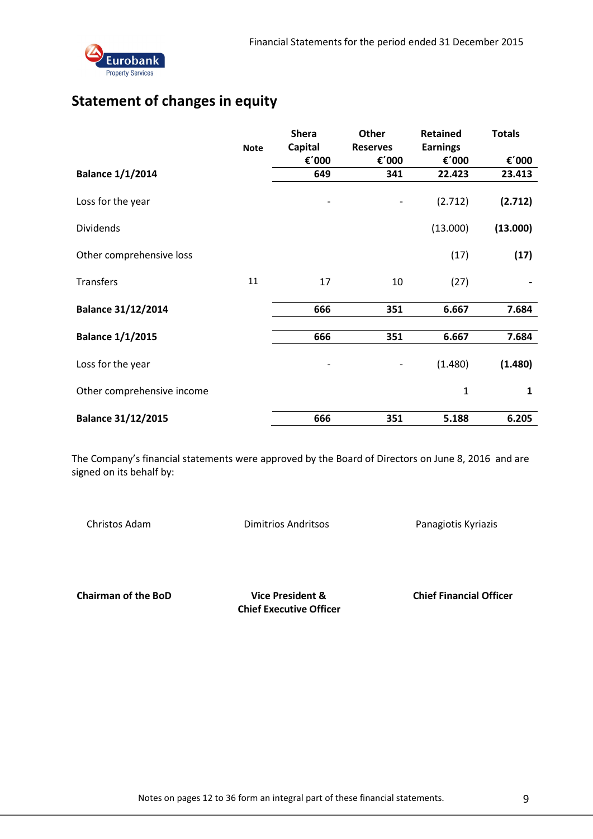

# **Statement of changes in equity**

|                            | <b>Note</b> | <b>Shera</b><br><b>Capital</b> | Other<br><b>Reserves</b> | <b>Retained</b><br><b>Earnings</b> | <b>Totals</b> |
|----------------------------|-------------|--------------------------------|--------------------------|------------------------------------|---------------|
|                            |             | €'000                          | €'000                    | €'000                              | €'000         |
| <b>Balance 1/1/2014</b>    |             | 649                            | 341                      | 22.423                             | 23.413        |
| Loss for the year          |             |                                |                          | (2.712)                            | (2.712)       |
| <b>Dividends</b>           |             |                                |                          | (13.000)                           | (13.000)      |
| Other comprehensive loss   |             |                                |                          | (17)                               | (17)          |
| <b>Transfers</b>           | $11\,$      | 17                             | 10                       | (27)                               |               |
| <b>Balance 31/12/2014</b>  |             | 666                            | 351                      | 6.667                              | 7.684         |
| <b>Balance 1/1/2015</b>    |             | 666                            | 351                      | 6.667                              | 7.684         |
|                            |             |                                |                          |                                    |               |
| Loss for the year          |             |                                |                          | (1.480)                            | (1.480)       |
| Other comprehensive income |             |                                |                          | 1                                  | 1             |
| <b>Balance 31/12/2015</b>  |             | 666                            | 351                      | 5.188                              | 6.205         |

The Company's financial statements were approved by the Board of Directors on June 8, 2016 and are signed on its behalf by:

Christos Adam Dimitrios Andritsos Panagiotis Kyriazis

**Chief Executive Officer**

**Chairman of the BoD Vice President & Chief Financial Officer**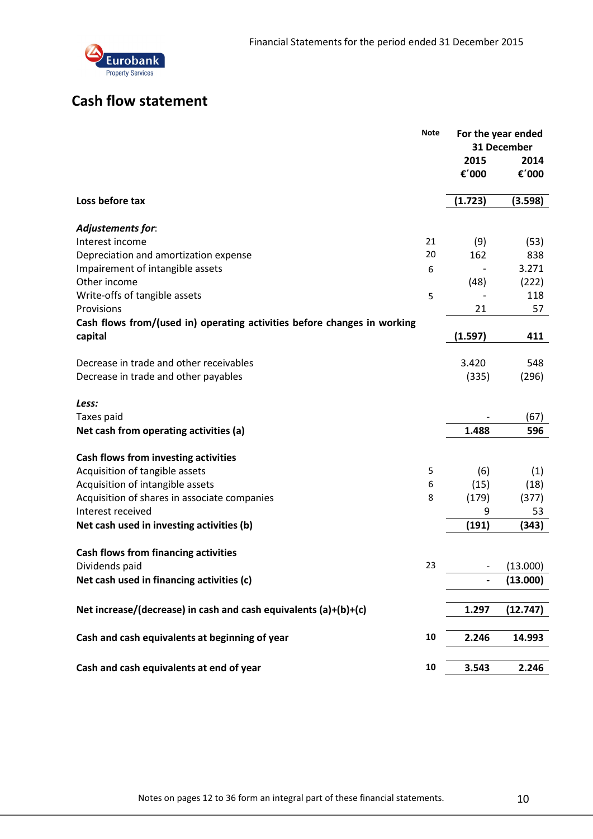

# **Cash flow statement**

|                                                                          | <b>Note</b> | For the year ended<br>31 December |               |  |
|--------------------------------------------------------------------------|-------------|-----------------------------------|---------------|--|
|                                                                          |             | 2015<br>€'000                     | 2014<br>€'000 |  |
| Loss before tax                                                          |             | (1.723)                           | (3.598)       |  |
| Adjustements for:                                                        |             |                                   |               |  |
| Interest income                                                          | 21          | (9)                               | (53)          |  |
| Depreciation and amortization expense                                    | 20          | 162                               | 838           |  |
| Impairement of intangible assets                                         | 6           |                                   | 3.271         |  |
| Other income                                                             |             | (48)                              | (222)         |  |
| Write-offs of tangible assets                                            | 5           |                                   | 118           |  |
| Provisions                                                               |             | 21                                | 57            |  |
| Cash flows from/(used in) operating activities before changes in working |             |                                   |               |  |
| capital                                                                  |             | (1.597)                           | 411           |  |
|                                                                          |             |                                   |               |  |
| Decrease in trade and other receivables                                  |             | 3.420                             | 548           |  |
| Decrease in trade and other payables                                     |             | (335)                             | (296)         |  |
| Less:                                                                    |             |                                   |               |  |
| Taxes paid                                                               |             |                                   | (67)          |  |
| Net cash from operating activities (a)                                   |             | 1.488                             | 596           |  |
|                                                                          |             |                                   |               |  |
| Cash flows from investing activities                                     |             |                                   |               |  |
| Acquisition of tangible assets                                           | 5           | (6)                               | (1)           |  |
| Acquisition of intangible assets                                         | 6           | (15)                              | (18)          |  |
| Acquisition of shares in associate companies                             | 8           | (179)                             | (377)         |  |
| Interest received                                                        |             | 9                                 | 53            |  |
| Net cash used in investing activities (b)                                |             | (191)                             | (343)         |  |
|                                                                          |             |                                   |               |  |
| <b>Cash flows from financing activities</b>                              | 23          |                                   |               |  |
| Dividends paid                                                           |             |                                   | (13.000)      |  |
| Net cash used in financing activities (c)                                |             |                                   | (13.000)      |  |
| Net increase/(decrease) in cash and cash equivalents (a)+(b)+(c)         |             | 1.297                             | (12.747)      |  |
|                                                                          |             |                                   |               |  |
| Cash and cash equivalents at beginning of year                           | 10          | 2.246                             | 14.993        |  |
|                                                                          |             |                                   |               |  |
| Cash and cash equivalents at end of year                                 | 10          | 3.543                             | 2.246         |  |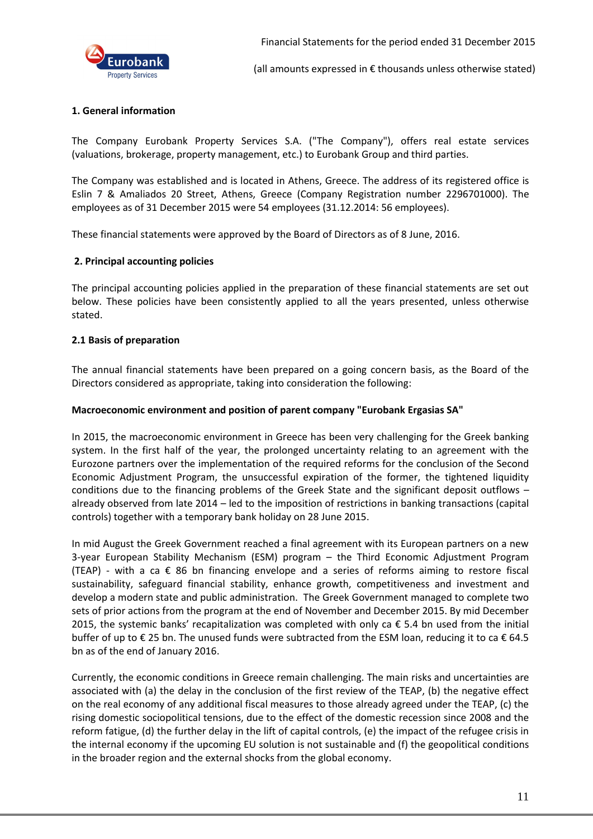

#### **1. General information**

The Company Eurobank Property Services S.A. ("The Company"), offers real estate services (valuations, brokerage, property management, etc.) to Eurobank Group and third parties.

The Company was established and is located in Athens, Greece. The address of its registered office is Eslin 7 & Amaliados 20 Street, Athens, Greece (Company Registration number 2296701000). The employees as of 31 December 2015 were 54 employees (31.12.2014: 56 employees).

These financial statements were approved by the Board of Directors as of 8 June, 2016.

#### **2. Principal accounting policies**

The principal accounting policies applied in the preparation of these financial statements are set out below. These policies have been consistently applied to all the years presented, unless otherwise stated.

#### **2.1 Basis of preparation**

The annual financial statements have been prepared on a going concern basis, as the Board of the Directors considered as appropriate, taking into consideration the following:

#### **Macroeconomic environment and position of parent company "Eurobank Ergasias SA"**

In 2015, the macroeconomic environment in Greece has been very challenging for the Greek banking system. In the first half of the year, the prolonged uncertainty relating to an agreement with the Eurozone partners over the implementation of the required reforms for the conclusion of the Second Economic Adjustment Program, the unsuccessful expiration of the former, the tightened liquidity conditions due to the financing problems of the Greek State and the significant deposit outflows – already observed from late 2014 – led to the imposition of restrictions in banking transactions (capital controls) together with a temporary bank holiday on 28 June 2015.

In mid August the Greek Government reached a final agreement with its European partners on a new 3-year European Stability Mechanism (ESM) program – the Third Economic Adjustment Program (TEAP) - with a ca  $\epsilon$  86 bn financing envelope and a series of reforms aiming to restore fiscal sustainability, safeguard financial stability, enhance growth, competitiveness and investment and develop a modern state and public administration. The Greek Government managed to complete two sets of prior actions from the program at the end of November and December 2015. By mid December 2015, the systemic banks' recapitalization was completed with only ca  $\epsilon$  5.4 bn used from the initial buffer of up to € 25 bn. The unused funds were subtracted from the ESM loan, reducing it to ca € 64.5 bn as of the end of January 2016.

Currently, the economic conditions in Greece remain challenging. The main risks and uncertainties are associated with (a) the delay in the conclusion of the first review of the TEAP, (b) the negative effect on the real economy of any additional fiscal measures to those already agreed under the TEAP, (c) the rising domestic sociopolitical tensions, due to the effect of the domestic recession since 2008 and the reform fatigue, (d) the further delay in the lift of capital controls, (e) the impact of the refugee crisis in the internal economy if the upcoming EU solution is not sustainable and (f) the geopolitical conditions in the broader region and the external shocks from the global economy.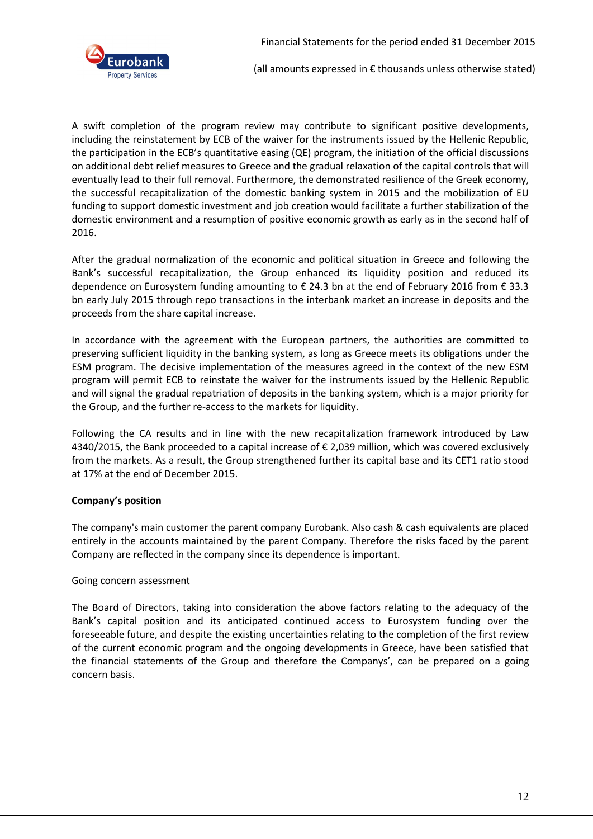

A swift completion of the program review may contribute to significant positive developments, including the reinstatement by ECB of the waiver for the instruments issued by the Hellenic Republic, the participation in the ECB's quantitative easing (QE) program, the initiation of the official discussions on additional debt relief measures to Greece and the gradual relaxation of the capital controls that will eventually lead to their full removal. Furthermore, the demonstrated resilience of the Greek economy, the successful recapitalization of the domestic banking system in 2015 and the mobilization of EU funding to support domestic investment and job creation would facilitate a further stabilization of the domestic environment and a resumption of positive economic growth as early as in the second half of 2016.

After the gradual normalization of the economic and political situation in Greece and following the Bank's successful recapitalization, the Group enhanced its liquidity position and reduced its dependence on Eurosystem funding amounting to € 24.3 bn at the end of February 2016 from € 33.3 bn early July 2015 through repo transactions in the interbank market an increase in deposits and the proceeds from the share capital increase.

In accordance with the agreement with the European partners, the authorities are committed to preserving sufficient liquidity in the banking system, as long as Greece meets its obligations under the ESM program. The decisive implementation of the measures agreed in the context of the new ESM program will permit ECB to reinstate the waiver for the instruments issued by the Hellenic Republic and will signal the gradual repatriation of deposits in the banking system, which is a major priority for the Group, and the further re-access to the markets for liquidity.

Following the CA results and in line with the new recapitalization framework introduced by Law 4340/2015, the Bank proceeded to a capital increase of  $\epsilon$  2,039 million, which was covered exclusively from the markets. As a result, the Group strengthened further its capital base and its CET1 ratio stood at 17% at the end of December 2015.

#### **Company's position**

The company's main customer the parent company Eurobank. Also cash & cash equivalents are placed entirely in the accounts maintained by the parent Company. Therefore the risks faced by the parent Company are reflected in the company since its dependence is important.

#### Going concern assessment

The Board of Directors, taking into consideration the above factors relating to the adequacy of the Bank's capital position and its anticipated continued access to Eurosystem funding over the foreseeable future, and despite the existing uncertainties relating to the completion of the first review of the current economic program and the ongoing developments in Greece, have been satisfied that the financial statements of the Group and therefore the Companys', can be prepared on a going concern basis.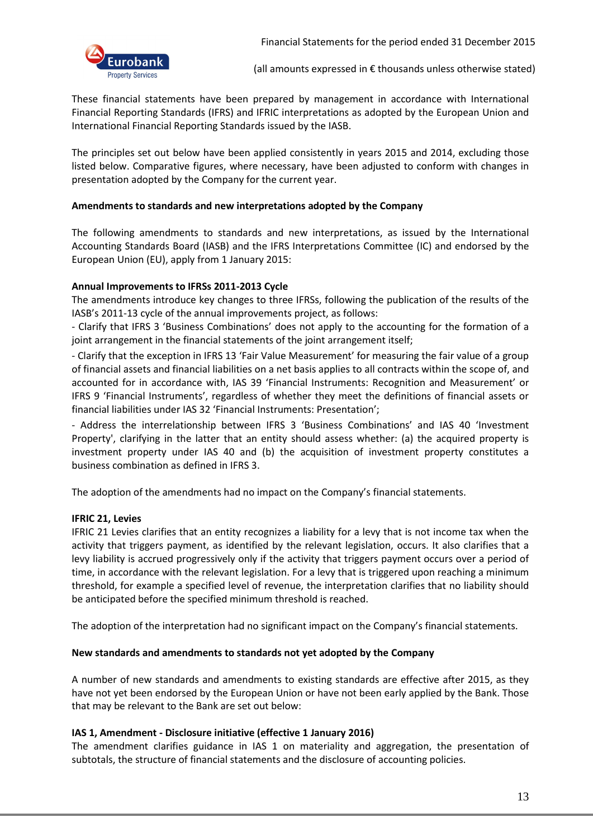

These financial statements have been prepared by management in accordance with International Financial Reporting Standards (IFRS) and IFRIC interpretations as adopted by the European Union and International Financial Reporting Standards issued by the IASB.

The principles set out below have been applied consistently in years 2015 and 2014, excluding those listed below. Comparative figures, where necessary, have been adjusted to conform with changes in presentation adopted by the Company for the current year.

#### **Amendments to standards and new interpretations adopted by the Company**

The following amendments to standards and new interpretations, as issued by the International Accounting Standards Board (IASB) and the IFRS Interpretations Committee (IC) and endorsed by the European Union (EU), apply from 1 January 2015:

#### **Annual Improvements to IFRSs 2011-2013 Cycle**

The amendments introduce key changes to three IFRSs, following the publication of the results of the IASB's 2011-13 cycle of the annual improvements project, as follows:

- Clarify that IFRS 3 'Business Combinations' does not apply to the accounting for the formation of a joint arrangement in the financial statements of the joint arrangement itself;

- Clarify that the exception in IFRS 13 'Fair Value Measurement' for measuring the fair value of a group of financial assets and financial liabilities on a net basis applies to all contracts within the scope of, and accounted for in accordance with, IAS 39 'Financial Instruments: Recognition and Measurement' or IFRS 9 'Financial Instruments', regardless of whether they meet the definitions of financial assets or financial liabilities under IAS 32 'Financial Instruments: Presentation';

- Address the interrelationship between IFRS 3 'Business Combinations' and IAS 40 'Investment Property', clarifying in the latter that an entity should assess whether: (a) the acquired property is investment property under IAS 40 and (b) the acquisition of investment property constitutes a business combination as defined in IFRS 3.

The adoption of the amendments had no impact on the Company's financial statements.

#### **IFRIC 21, Levies**

IFRIC 21 Levies clarifies that an entity recognizes a liability for a levy that is not income tax when the activity that triggers payment, as identified by the relevant legislation, occurs. It also clarifies that a levy liability is accrued progressively only if the activity that triggers payment occurs over a period of time, in accordance with the relevant legislation. For a levy that is triggered upon reaching a minimum threshold, for example a specified level of revenue, the interpretation clarifies that no liability should be anticipated before the specified minimum threshold is reached.

The adoption of the interpretation had no significant impact on the Company's financial statements.

#### **New standards and amendments to standards not yet adopted by the Company**

A number of new standards and amendments to existing standards are effective after 2015, as they have not yet been endorsed by the European Union or have not been early applied by the Bank. Those that may be relevant to the Bank are set out below:

#### **IAS 1, Amendment - Disclosure initiative (effective 1 January 2016)**

The amendment clarifies guidance in IAS 1 on materiality and aggregation, the presentation of subtotals, the structure of financial statements and the disclosure of accounting policies.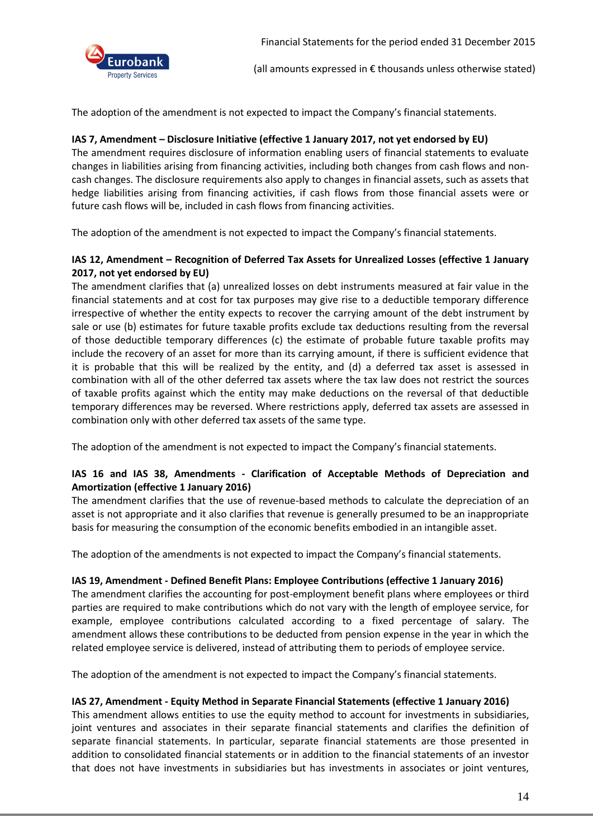

The adoption of the amendment is not expected to impact the Company's financial statements.

#### **IAS 7, Amendment – Disclosure Initiative (effective 1 January 2017, not yet endorsed by EU)**

The amendment requires disclosure of information enabling users of financial statements to evaluate changes in liabilities arising from financing activities, including both changes from cash flows and noncash changes. The disclosure requirements also apply to changes in financial assets, such as assets that hedge liabilities arising from financing activities, if cash flows from those financial assets were or future cash flows will be, included in cash flows from financing activities.

The adoption of the amendment is not expected to impact the Company's financial statements.

#### **IAS 12, Amendment – Recognition of Deferred Tax Assets for Unrealized Losses (effective 1 January 2017, not yet endorsed by EU)**

The amendment clarifies that (a) unrealized losses on debt instruments measured at fair value in the financial statements and at cost for tax purposes may give rise to a deductible temporary difference irrespective of whether the entity expects to recover the carrying amount of the debt instrument by sale or use (b) estimates for future taxable profits exclude tax deductions resulting from the reversal of those deductible temporary differences (c) the estimate of probable future taxable profits may include the recovery of an asset for more than its carrying amount, if there is sufficient evidence that it is probable that this will be realized by the entity, and (d) a deferred tax asset is assessed in combination with all of the other deferred tax assets where the tax law does not restrict the sources of taxable profits against which the entity may make deductions on the reversal of that deductible temporary differences may be reversed. Where restrictions apply, deferred tax assets are assessed in combination only with other deferred tax assets of the same type.

The adoption of the amendment is not expected to impact the Company's financial statements.

#### **IAS 16 and IAS 38, Amendments - Clarification of Acceptable Methods of Depreciation and Amortization (effective 1 January 2016)**

The amendment clarifies that the use of revenue-based methods to calculate the depreciation of an asset is not appropriate and it also clarifies that revenue is generally presumed to be an inappropriate basis for measuring the consumption of the economic benefits embodied in an intangible asset.

The adoption of the amendments is not expected to impact the Company's financial statements.

#### **IAS 19, Amendment - Defined Benefit Plans: Employee Contributions (effective 1 January 2016)**

The amendment clarifies the accounting for post-employment benefit plans where employees or third parties are required to make contributions which do not vary with the length of employee service, for example, employee contributions calculated according to a fixed percentage of salary. The amendment allows these contributions to be deducted from pension expense in the year in which the related employee service is delivered, instead of attributing them to periods of employee service.

The adoption of the amendment is not expected to impact the Company's financial statements.

#### **IAS 27, Amendment - Equity Method in Separate Financial Statements (effective 1 January 2016)**

This amendment allows entities to use the equity method to account for investments in subsidiaries, joint ventures and associates in their separate financial statements and clarifies the definition of separate financial statements. In particular, separate financial statements are those presented in addition to consolidated financial statements or in addition to the financial statements of an investor that does not have investments in subsidiaries but has investments in associates or joint ventures,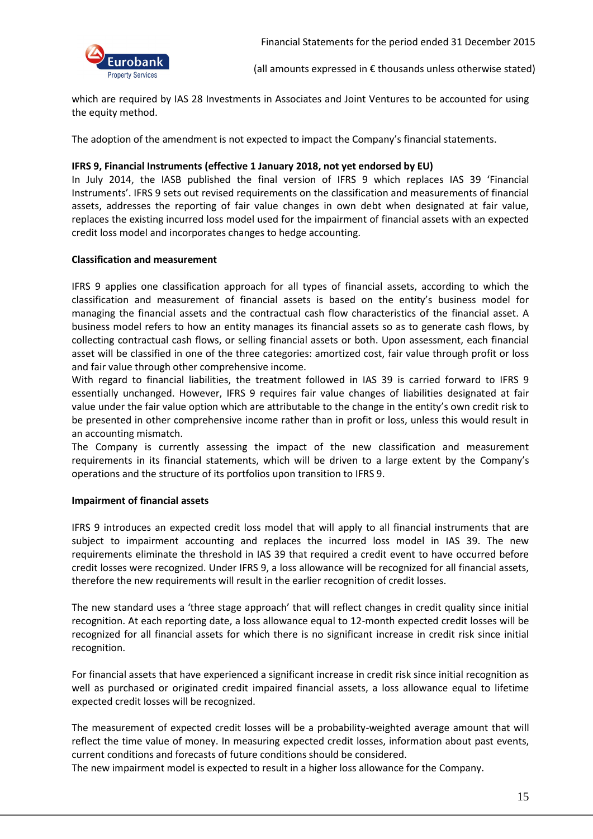

which are required by IAS 28 Investments in Associates and Joint Ventures to be accounted for using the equity method.

The adoption of the amendment is not expected to impact the Company's financial statements.

#### **IFRS 9, Financial Instruments (effective 1 January 2018, not yet endorsed by EU)**

In July 2014, the IASB published the final version of IFRS 9 which replaces IAS 39 'Financial Instruments'. IFRS 9 sets out revised requirements on the classification and measurements of financial assets, addresses the reporting of fair value changes in own debt when designated at fair value, replaces the existing incurred loss model used for the impairment of financial assets with an expected credit loss model and incorporates changes to hedge accounting.

#### **Classification and measurement**

IFRS 9 applies one classification approach for all types of financial assets, according to which the classification and measurement of financial assets is based on the entity's business model for managing the financial assets and the contractual cash flow characteristics of the financial asset. A business model refers to how an entity manages its financial assets so as to generate cash flows, by collecting contractual cash flows, or selling financial assets or both. Upon assessment, each financial asset will be classified in one of the three categories: amortized cost, fair value through profit or loss and fair value through other comprehensive income.

With regard to financial liabilities, the treatment followed in IAS 39 is carried forward to IFRS 9 essentially unchanged. However, IFRS 9 requires fair value changes of liabilities designated at fair value under the fair value option which are attributable to the change in the entity's own credit risk to be presented in other comprehensive income rather than in profit or loss, unless this would result in an accounting mismatch.

The Company is currently assessing the impact of the new classification and measurement requirements in its financial statements, which will be driven to a large extent by the Company's operations and the structure of its portfolios upon transition to IFRS 9.

#### **Impairment of financial assets**

IFRS 9 introduces an expected credit loss model that will apply to all financial instruments that are subject to impairment accounting and replaces the incurred loss model in IAS 39. The new requirements eliminate the threshold in IAS 39 that required a credit event to have occurred before credit losses were recognized. Under IFRS 9, a loss allowance will be recognized for all financial assets, therefore the new requirements will result in the earlier recognition of credit losses.

The new standard uses a 'three stage approach' that will reflect changes in credit quality since initial recognition. At each reporting date, a loss allowance equal to 12-month expected credit losses will be recognized for all financial assets for which there is no significant increase in credit risk since initial recognition.

For financial assets that have experienced a significant increase in credit risk since initial recognition as well as purchased or originated credit impaired financial assets, a loss allowance equal to lifetime expected credit losses will be recognized.

The measurement of expected credit losses will be a probability-weighted average amount that will reflect the time value of money. In measuring expected credit losses, information about past events, current conditions and forecasts of future conditions should be considered.

The new impairment model is expected to result in a higher loss allowance for the Company.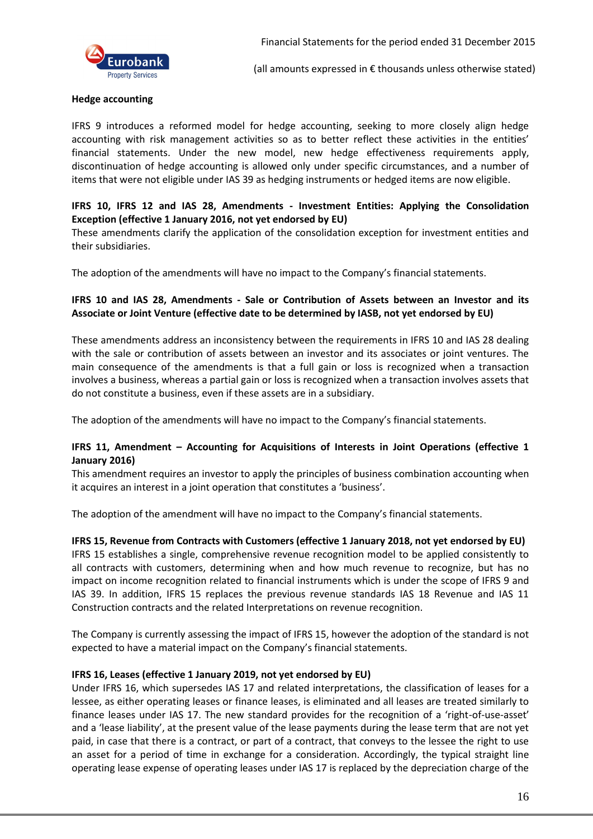

#### **Hedge accounting**

IFRS 9 introduces a reformed model for hedge accounting, seeking to more closely align hedge accounting with risk management activities so as to better reflect these activities in the entities' financial statements. Under the new model, new hedge effectiveness requirements apply, discontinuation of hedge accounting is allowed only under specific circumstances, and a number of items that were not eligible under IAS 39 as hedging instruments or hedged items are now eligible.

#### **IFRS 10, IFRS 12 and IAS 28, Amendments - Investment Entities: Applying the Consolidation Exception (effective 1 January 2016, not yet endorsed by EU)**

These amendments clarify the application of the consolidation exception for investment entities and their subsidiaries.

The adoption of the amendments will have no impact to the Company's financial statements.

#### **IFRS 10 and IAS 28, Amendments - Sale or Contribution of Assets between an Investor and its Associate or Joint Venture (effective date to be determined by IASB, not yet endorsed by EU)**

These amendments address an inconsistency between the requirements in IFRS 10 and IAS 28 dealing with the sale or contribution of assets between an investor and its associates or joint ventures. The main consequence of the amendments is that a full gain or loss is recognized when a transaction involves a business, whereas a partial gain or loss is recognized when a transaction involves assets that do not constitute a business, even if these assets are in a subsidiary.

The adoption of the amendments will have no impact to the Company's financial statements.

#### **IFRS 11, Amendment – Accounting for Acquisitions of Interests in Joint Operations (effective 1 January 2016)**

This amendment requires an investor to apply the principles of business combination accounting when it acquires an interest in a joint operation that constitutes a 'business'.

The adoption of the amendment will have no impact to the Company's financial statements.

**IFRS 15, Revenue from Contracts with Customers (effective 1 January 2018, not yet endorsed by EU)**  IFRS 15 establishes a single, comprehensive revenue recognition model to be applied consistently to all contracts with customers, determining when and how much revenue to recognize, but has no impact on income recognition related to financial instruments which is under the scope of IFRS 9 and IAS 39. In addition, IFRS 15 replaces the previous revenue standards IAS 18 Revenue and IAS 11 Construction contracts and the related Interpretations on revenue recognition.

The Company is currently assessing the impact of IFRS 15, however the adoption of the standard is not expected to have a material impact on the Company's financial statements.

#### **IFRS 16, Leases (effective 1 January 2019, not yet endorsed by EU)**

Under IFRS 16, which supersedes IAS 17 and related interpretations, the classification of leases for a lessee, as either operating leases or finance leases, is eliminated and all leases are treated similarly to finance leases under IAS 17. The new standard provides for the recognition of a 'right-of-use-asset' and a 'lease liability', at the present value of the lease payments during the lease term that are not yet paid, in case that there is a contract, or part of a contract, that conveys to the lessee the right to use an asset for a period of time in exchange for a consideration. Accordingly, the typical straight line operating lease expense of operating leases under IAS 17 is replaced by the depreciation charge of the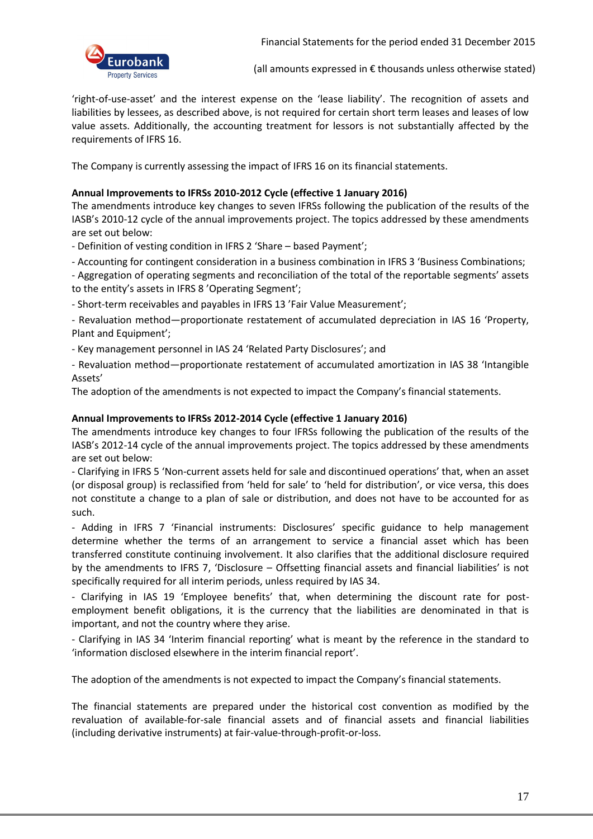'right-of-use-asset' and the interest expense on the 'lease liability'. The recognition of assets and liabilities by lessees, as described above, is not required for certain short term leases and leases of low value assets. Additionally, the accounting treatment for lessors is not substantially affected by the requirements of IFRS 16.

The Company is currently assessing the impact of IFRS 16 on its financial statements.

### **Annual Improvements to IFRSs 2010-2012 Cycle (effective 1 January 2016)**

The amendments introduce key changes to seven IFRSs following the publication of the results of the IASB's 2010-12 cycle of the annual improvements project. The topics addressed by these amendments are set out below:

- Definition of vesting condition in IFRS 2 'Share – based Payment';

- Accounting for contingent consideration in a business combination in IFRS 3 'Business Combinations;

- Aggregation of operating segments and reconciliation of the total of the reportable segments' assets to the entity's assets in IFRS 8 'Operating Segment';

- Short-term receivables and payables in IFRS 13 'Fair Value Measurement';

- Revaluation method—proportionate restatement of accumulated depreciation in IAS 16 'Property, Plant and Equipment';

- Key management personnel in IAS 24 'Related Party Disclosures'; and

- Revaluation method—proportionate restatement of accumulated amortization in IAS 38 'Intangible Assets'

The adoption of the amendments is not expected to impact the Company's financial statements.

## **Annual Improvements to IFRSs 2012-2014 Cycle (effective 1 January 2016)**

The amendments introduce key changes to four IFRSs following the publication of the results of the IASB's 2012-14 cycle of the annual improvements project. The topics addressed by these amendments are set out below:

- Clarifying in IFRS 5 'Non-current assets held for sale and discontinued operations' that, when an asset (or disposal group) is reclassified from 'held for sale' to 'held for distribution', or vice versa, this does not constitute a change to a plan of sale or distribution, and does not have to be accounted for as such.

- Adding in IFRS 7 'Financial instruments: Disclosures' specific guidance to help management determine whether the terms of an arrangement to service a financial asset which has been transferred constitute continuing involvement. It also clarifies that the additional disclosure required by the amendments to IFRS 7, 'Disclosure – Offsetting financial assets and financial liabilities' is not specifically required for all interim periods, unless required by IAS 34.

- Clarifying in IAS 19 'Employee benefits' that, when determining the discount rate for postemployment benefit obligations, it is the currency that the liabilities are denominated in that is important, and not the country where they arise.

- Clarifying in IAS 34 'Interim financial reporting' what is meant by the reference in the standard to 'information disclosed elsewhere in the interim financial report'.

The adoption of the amendments is not expected to impact the Company's financial statements.

The financial statements are prepared under the historical cost convention as modified by the revaluation of available-for-sale financial assets and of financial assets and financial liabilities (including derivative instruments) at fair-value-through-profit-or-loss.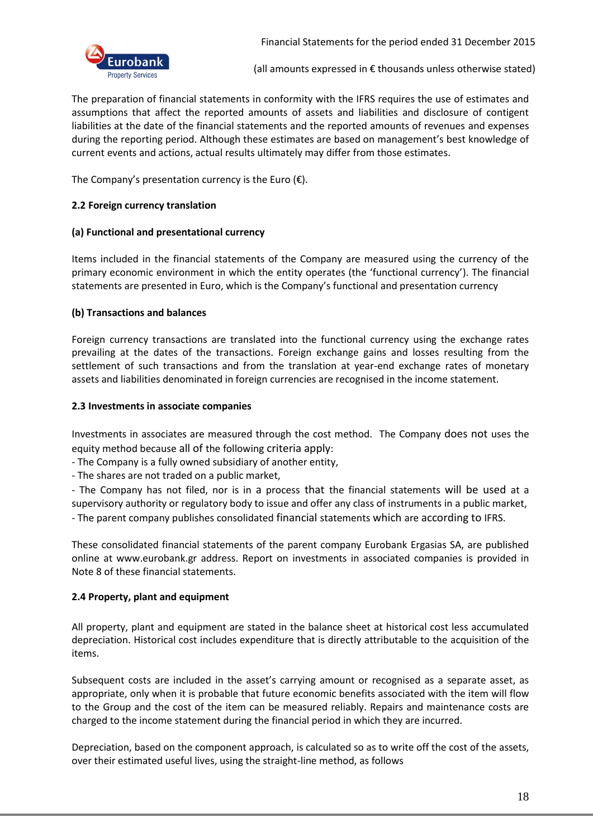The preparation of financial statements in conformity with the IFRS requires the use of estimates and assumptions that affect the reported amounts of assets and liabilities and disclosure of contigent liabilities at the date of the financial statements and the reported amounts of revenues and expenses during the reporting period. Although these estimates are based on management's best knowledge of current events and actions, actual results ultimately may differ from those estimates.

The Company's presentation currency is the Euro  $(\epsilon)$ .

## **2.2 Foreign currency translation**

#### **(a) Functional and presentational currency**

Items included in the financial statements of the Company are measured using the currency of the primary economic environment in which the entity operates (the 'functional currency'). The financial statements are presented in Euro, which is the Company's functional and presentation currency

### **(b) Transactions and balances**

Foreign currency transactions are translated into the functional currency using the exchange rates prevailing at the dates of the transactions. Foreign exchange gains and losses resulting from the settlement of such transactions and from the translation at year-end exchange rates of monetary assets and liabilities denominated in foreign currencies are recognised in the income statement.

#### **2.3 Investments in associate companies**

Investments in associates are measured through the cost method. The Company does not uses the equity method because all of the following criteria apply:

- The Company is a fully owned subsidiary of another entity,

- The shares are not traded on a public market,

- The Company has not filed, nor is in a process that the financial statements will be used at a supervisory authority or regulatory body to issue and offer any class of instruments in a public market, - The parent company publishes consolidated financial statements which are according to IFRS.

These consolidated financial statements of the parent company Eurobank Ergasias SA, are published online at www.eurobank.gr address. Report on investments in associated companies is provided in Note 8 of these financial statements.

#### **2.4 Property, plant and equipment**

All property, plant and equipment are stated in the balance sheet at historical cost less accumulated depreciation. Historical cost includes expenditure that is directly attributable to the acquisition of the items.

Subsequent costs are included in the asset's carrying amount or recognised as a separate asset, as appropriate, only when it is probable that future economic benefits associated with the item will flow to the Group and the cost of the item can be measured reliably. Repairs and maintenance costs are charged to the income statement during the financial period in which they are incurred.

Depreciation, based on the component approach, is calculated so as to write off the cost of the assets, over their estimated useful lives, using the straight-line method, as follows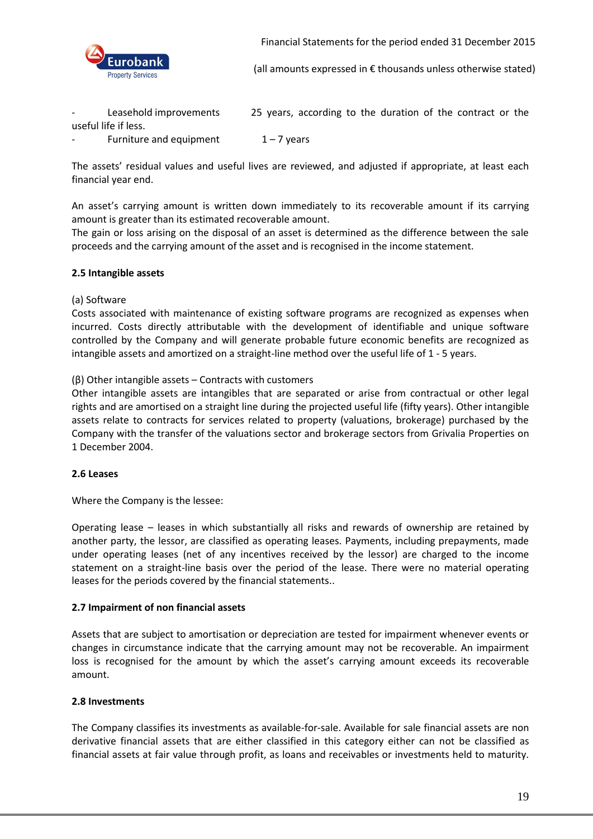

| $-$                  | Leasehold improvements |  |  | 25 years, according to the duration of the contract or the |  |  |  |  |
|----------------------|------------------------|--|--|------------------------------------------------------------|--|--|--|--|
| useful life if less. |                        |  |  |                                                            |  |  |  |  |
|                      |                        |  |  |                                                            |  |  |  |  |

Furniture and equipment  $1 - 7$  years

The assets' residual values and useful lives are reviewed, and adjusted if appropriate, at least each financial year end.

An asset's carrying amount is written down immediately to its recoverable amount if its carrying amount is greater than its estimated recoverable amount.

The gain or loss arising on the disposal of an asset is determined as the difference between the sale proceeds and the carrying amount of the asset and is recognised in the income statement.

#### **2.5 Intangible assets**

#### (a) Software

Costs associated with maintenance of existing software programs are recognized as expenses when incurred. Costs directly attributable with the development of identifiable and unique software controlled by the Company and will generate probable future economic benefits are recognized as intangible assets and amortized on a straight-line method over the useful life of 1 - 5 years.

#### (β) Other intangible assets – Contracts with customers

Other intangible assets are intangibles that are separated or arise from contractual or other legal rights and are amortised on a straight line during the projected useful life (fifty years). Other intangible assets relate to contracts for services related to property (valuations, brokerage) purchased by the Company with the transfer of the valuations sector and brokerage sectors from Grivalia Properties on 1 December 2004.

#### **2.6 Leases**

Where the Company is the lessee:

Operating lease – leases in which substantially all risks and rewards of ownership are retained by another party, the lessor, are classified as operating leases. Payments, including prepayments, made under operating leases (net of any incentives received by the lessor) are charged to the income statement on a straight-line basis over the period of the lease. There were no material operating leases for the periods covered by the financial statements..

#### **2.7 Impairment of non financial assets**

Assets that are subject to amortisation or depreciation are tested for impairment whenever events or changes in circumstance indicate that the carrying amount may not be recoverable. An impairment loss is recognised for the amount by which the asset's carrying amount exceeds its recoverable amount.

#### **2.8 Investments**

The Company classifies its investments as available-for-sale. Available for sale financial assets are non derivative financial assets that are either classified in this category either can not be classified as financial assets at fair value through profit, as loans and receivables or investments held to maturity.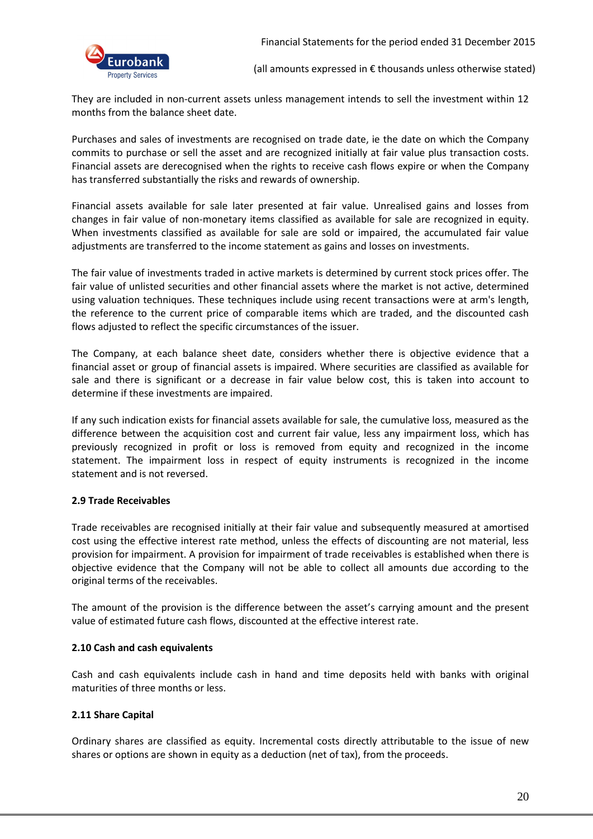

They are included in non-current assets unless management intends to sell the investment within 12 months from the balance sheet date.

Purchases and sales of investments are recognised on trade date, ie the date on which the Company commits to purchase or sell the asset and are recognized initially at fair value plus transaction costs. Financial assets are derecognised when the rights to receive cash flows expire or when the Company has transferred substantially the risks and rewards of ownership.

Financial assets available for sale later presented at fair value. Unrealised gains and losses from changes in fair value of non-monetary items classified as available for sale are recognized in equity. When investments classified as available for sale are sold or impaired, the accumulated fair value adjustments are transferred to the income statement as gains and losses on investments.

The fair value of investments traded in active markets is determined by current stock prices offer. The fair value of unlisted securities and other financial assets where the market is not active, determined using valuation techniques. These techniques include using recent transactions were at arm's length, the reference to the current price of comparable items which are traded, and the discounted cash flows adjusted to reflect the specific circumstances of the issuer.

The Company, at each balance sheet date, considers whether there is objective evidence that a financial asset or group of financial assets is impaired. Where securities are classified as available for sale and there is significant or a decrease in fair value below cost, this is taken into account to determine if these investments are impaired.

If any such indication exists for financial assets available for sale, the cumulative loss, measured as the difference between the acquisition cost and current fair value, less any impairment loss, which has previously recognized in profit or loss is removed from equity and recognized in the income statement. The impairment loss in respect of equity instruments is recognized in the income statement and is not reversed.

#### **2.9 Trade Receivables**

Trade receivables are recognised initially at their fair value and subsequently measured at amortised cost using the effective interest rate method, unless the effects of discounting are not material, less provision for impairment. A provision for impairment of trade receivables is established when there is objective evidence that the Company will not be able to collect all amounts due according to the original terms of the receivables.

The amount of the provision is the difference between the asset's carrying amount and the present value of estimated future cash flows, discounted at the effective interest rate.

#### **2.10 Cash and cash equivalents**

Cash and cash equivalents include cash in hand and time deposits held with banks with original maturities of three months or less.

#### **2.11 Share Capital**

Ordinary shares are classified as equity. Incremental costs directly attributable to the issue of new shares or options are shown in equity as a deduction (net of tax), from the proceeds.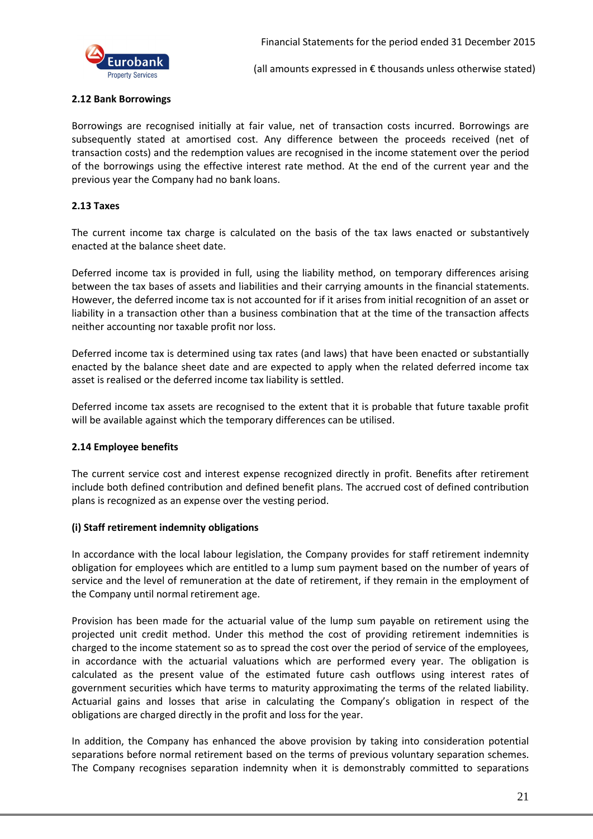

#### **2.12 Bank Borrowings**

Borrowings are recognised initially at fair value, net of transaction costs incurred. Borrowings are subsequently stated at amortised cost. Any difference between the proceeds received (net of transaction costs) and the redemption values are recognised in the income statement over the period of the borrowings using the effective interest rate method. At the end of the current year and the previous year the Company had no bank loans.

#### **2.13 Taxes**

The current income tax charge is calculated on the basis of the tax laws enacted or substantively enacted at the balance sheet date.

Deferred income tax is provided in full, using the liability method, on temporary differences arising between the tax bases of assets and liabilities and their carrying amounts in the financial statements. However, the deferred income tax is not accounted for if it arises from initial recognition of an asset or liability in a transaction other than a business combination that at the time of the transaction affects neither accounting nor taxable profit nor loss.

Deferred income tax is determined using tax rates (and laws) that have been enacted or substantially enacted by the balance sheet date and are expected to apply when the related deferred income tax asset is realised or the deferred income tax liability is settled.

Deferred income tax assets are recognised to the extent that it is probable that future taxable profit will be available against which the temporary differences can be utilised.

#### **2.14 Employee benefits**

The current service cost and interest expense recognized directly in profit. Benefits after retirement include both defined contribution and defined benefit plans. The accrued cost of defined contribution plans is recognized as an expense over the vesting period.

#### **(i) Staff retirement indemnity obligations**

In accordance with the local labour legislation, the Company provides for staff retirement indemnity obligation for employees which are entitled to a lump sum payment based on the number of years of service and the level of remuneration at the date of retirement, if they remain in the employment of the Company until normal retirement age.

Provision has been made for the actuarial value of the lump sum payable on retirement using the projected unit credit method. Under this method the cost of providing retirement indemnities is charged to the income statement so as to spread the cost over the period of service of the employees, in accordance with the actuarial valuations which are performed every year. The obligation is calculated as the present value of the estimated future cash outflows using interest rates of government securities which have terms to maturity approximating the terms of the related liability. Actuarial gains and losses that arise in calculating the Company's obligation in respect of the obligations are charged directly in the profit and loss for the year.

In addition, the Company has enhanced the above provision by taking into consideration potential separations before normal retirement based on the terms of previous voluntary separation schemes. The Company recognises separation indemnity when it is demonstrably committed to separations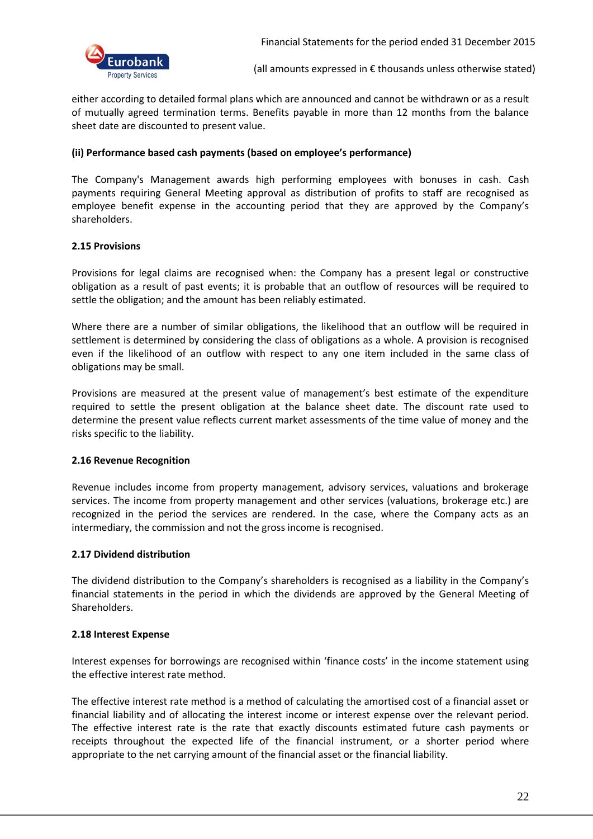either according to detailed formal plans which are announced and cannot be withdrawn or as a result of mutually agreed termination terms. Benefits payable in more than 12 months from the balance sheet date are discounted to present value.

# **(ii) Performance based cash payments (based on employee's performance)**

The Company's Management awards high performing employees with bonuses in cash. Cash payments requiring General Meeting approval as distribution of profits to staff are recognised as employee benefit expense in the accounting period that they are approved by the Company's shareholders.

# **2.15 Provisions**

Provisions for legal claims are recognised when: the Company has a present legal or constructive obligation as a result of past events; it is probable that an outflow of resources will be required to settle the obligation; and the amount has been reliably estimated.

Where there are a number of similar obligations, the likelihood that an outflow will be required in settlement is determined by considering the class of obligations as a whole. A provision is recognised even if the likelihood of an outflow with respect to any one item included in the same class of obligations may be small.

Provisions are measured at the present value of management's best estimate of the expenditure required to settle the present obligation at the balance sheet date. The discount rate used to determine the present value reflects current market assessments of the time value of money and the risks specific to the liability.

# **2.16 Revenue Recognition**

Revenue includes income from property management, advisory services, valuations and brokerage services. The income from property management and other services (valuations, brokerage etc.) are recognized in the period the services are rendered. In the case, where the Company acts as an intermediary, the commission and not the gross income is recognised.

# **2.17 Dividend distribution**

The dividend distribution to the Company's shareholders is recognised as a liability in the Company's financial statements in the period in which the dividends are approved by the General Meeting of Shareholders.

# **2.18 Interest Expense**

Interest expenses for borrowings are recognised within 'finance costs' in the income statement using the effective interest rate method.

The effective interest rate method is a method of calculating the amortised cost of a financial asset or financial liability and of allocating the interest income or interest expense over the relevant period. The effective interest rate is the rate that exactly discounts estimated future cash payments or receipts throughout the expected life of the financial instrument, or a shorter period where appropriate to the net carrying amount of the financial asset or the financial liability.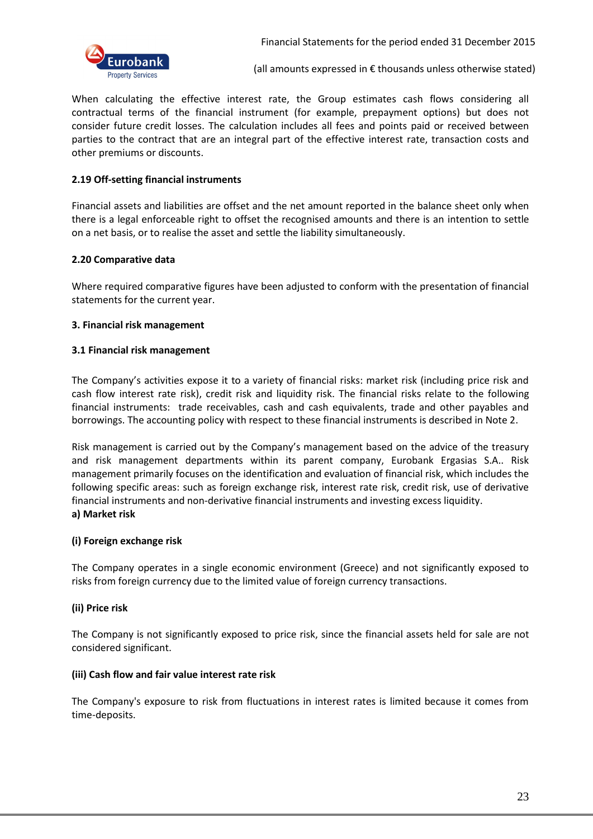

When calculating the effective interest rate, the Group estimates cash flows considering all contractual terms of the financial instrument (for example, prepayment options) but does not consider future credit losses. The calculation includes all fees and points paid or received between parties to the contract that are an integral part of the effective interest rate, transaction costs and other premiums or discounts.

#### **2.19 Off-setting financial instruments**

Financial assets and liabilities are offset and the net amount reported in the balance sheet only when there is a legal enforceable right to offset the recognised amounts and there is an intention to settle on a net basis, or to realise the asset and settle the liability simultaneously.

#### **2.20 Comparative data**

Where required comparative figures have been adjusted to conform with the presentation of financial statements for the current year.

#### **3. Financial risk management**

#### **3.1 Financial risk management**

The Company's activities expose it to a variety of financial risks: market risk (including price risk and cash flow interest rate risk), credit risk and liquidity risk. The financial risks relate to the following financial instruments: trade receivables, cash and cash equivalents, trade and other payables and borrowings. The accounting policy with respect to these financial instruments is described in Note 2.

Risk management is carried out by the Company's management based on the advice of the treasury and risk management departments within its parent company, Eurobank Ergasias S.A.. Risk management primarily focuses on the identification and evaluation of financial risk, which includes the following specific areas: such as foreign exchange risk, interest rate risk, credit risk, use of derivative financial instruments and non-derivative financial instruments and investing excess liquidity. **a) Market risk**

#### **(i) Foreign exchange risk**

The Company operates in a single economic environment (Greece) and not significantly exposed to risks from foreign currency due to the limited value of foreign currency transactions.

#### **(ii) Price risk**

The Company is not significantly exposed to price risk, since the financial assets held for sale are not considered significant.

#### **(iii) Cash flow and fair value interest rate risk**

The Company's exposure to risk from fluctuations in interest rates is limited because it comes from time-deposits.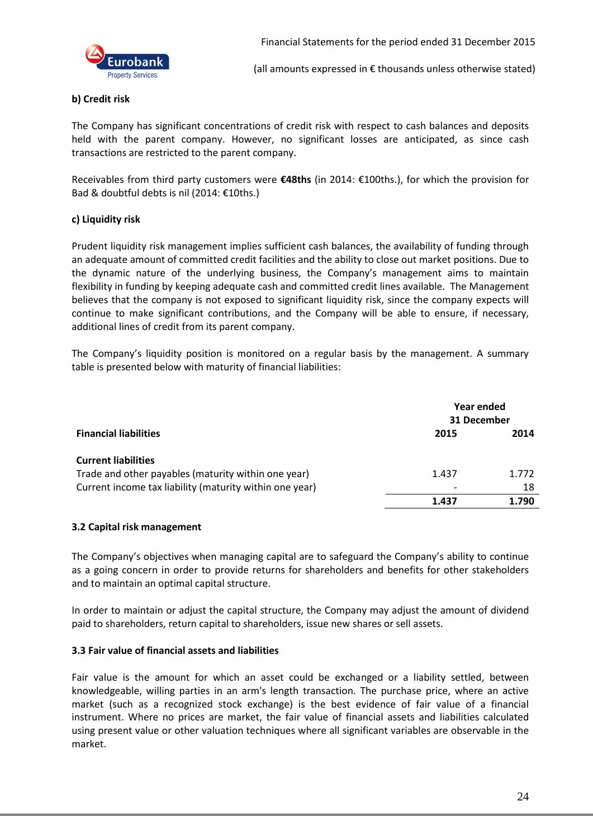

#### **b) Credit risk**

The Company has significant concentrations of credit risk with respect to cash balances and deposits held with the parent company. However, no significant losses are anticipated, as since cash transactions are restricted to the parent company.

Receivables from third party customers were **€48ths** (in 2014: €100ths.), for which the provision for Bad & doubtful debts is nil (2014: €10ths.)

#### **c) Liquidity risk**

Prudent liquidity risk management implies sufficient cash balances, the availability of funding through an adequate amount of committed credit facilities and the ability to close out market positions. Due to the dynamic nature of the underlying business, the Company's management aims to maintain flexibility in funding by keeping adequate cash and committed credit lines available. The Management believes that the company is not exposed to significant liquidity risk, since the company expects will continue to make significant contributions, and the Company will be able to ensure, if necessary, additional lines of credit from its parent company.

The Company's liquidity position is monitored on a regular basis by the management. A summary table is presented below with maturity of financial liabilities:

|                                                         | Year ended<br>31 December |       |
|---------------------------------------------------------|---------------------------|-------|
| <b>Financial liabilities</b>                            | 2015                      | 2014  |
| <b>Current liabilities</b>                              |                           |       |
| Trade and other payables (maturity within one year)     | 1.437                     | 1.772 |
| Current income tax liability (maturity within one year) | $\overline{\phantom{0}}$  | 18    |
|                                                         | 1.437                     | 1.790 |

#### **3.2 Capital risk management**

The Company's objectives when managing capital are to safeguard the Company's ability to continue as a going concern in order to provide returns for shareholders and benefits for other stakeholders and to maintain an optimal capital structure.

In order to maintain or adjust the capital structure, the Company may adjust the amount of dividend paid to shareholders, return capital to shareholders, issue new shares or sell assets.

#### **3.3 Fair value of financial assets and liabilities**

Fair value is the amount for which an asset could be exchanged or a liability settled, between knowledgeable, willing parties in an arm's length transaction. The purchase price, where an active market (such as a recognized stock exchange) is the best evidence of fair value of a financial instrument. Where no prices are market, the fair value of financial assets and liabilities calculated using present value or other valuation techniques where all significant variables are observable in the market.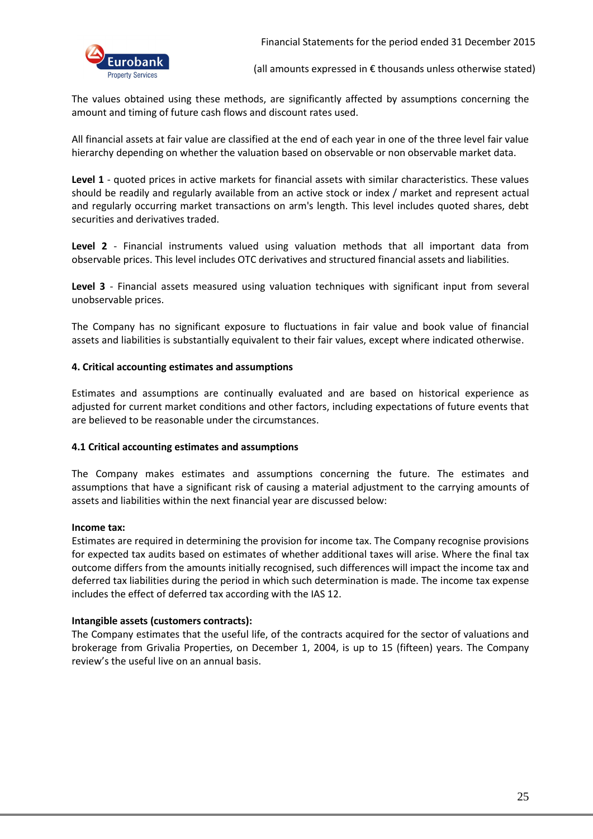

The values obtained using these methods, are significantly affected by assumptions concerning the amount and timing of future cash flows and discount rates used.

All financial assets at fair value are classified at the end of each year in one of the three level fair value hierarchy depending on whether the valuation based on observable or non observable market data.

**Level 1** - quoted prices in active markets for financial assets with similar characteristics. These values should be readily and regularly available from an active stock or index / market and represent actual and regularly occurring market transactions on arm's length. This level includes quoted shares, debt securities and derivatives traded.

Level 2 - Financial instruments valued using valuation methods that all important data from observable prices. This level includes OTC derivatives and structured financial assets and liabilities.

**Level 3** - Financial assets measured using valuation techniques with significant input from several unobservable prices.

The Company has no significant exposure to fluctuations in fair value and book value of financial assets and liabilities is substantially equivalent to their fair values, except where indicated otherwise.

#### **4. Critical accounting estimates and assumptions**

Estimates and assumptions are continually evaluated and are based on historical experience as adjusted for current market conditions and other factors, including expectations of future events that are believed to be reasonable under the circumstances.

#### **4.1 Critical accounting estimates and assumptions**

The Company makes estimates and assumptions concerning the future. The estimates and assumptions that have a significant risk of causing a material adjustment to the carrying amounts of assets and liabilities within the next financial year are discussed below:

#### **Income tax:**

Estimates are required in determining the provision for income tax. The Company recognise provisions for expected tax audits based on estimates of whether additional taxes will arise. Where the final tax outcome differs from the amounts initially recognised, such differences will impact the income tax and deferred tax liabilities during the period in which such determination is made. The income tax expense includes the effect of deferred tax according with the IAS 12.

#### **Intangible assets (customers contracts):**

The Company estimates that the useful life, of the contracts acquired for the sector of valuations and brokerage from Grivalia Properties, on December 1, 2004, is up to 15 (fifteen) years. The Company review's the useful live on an annual basis.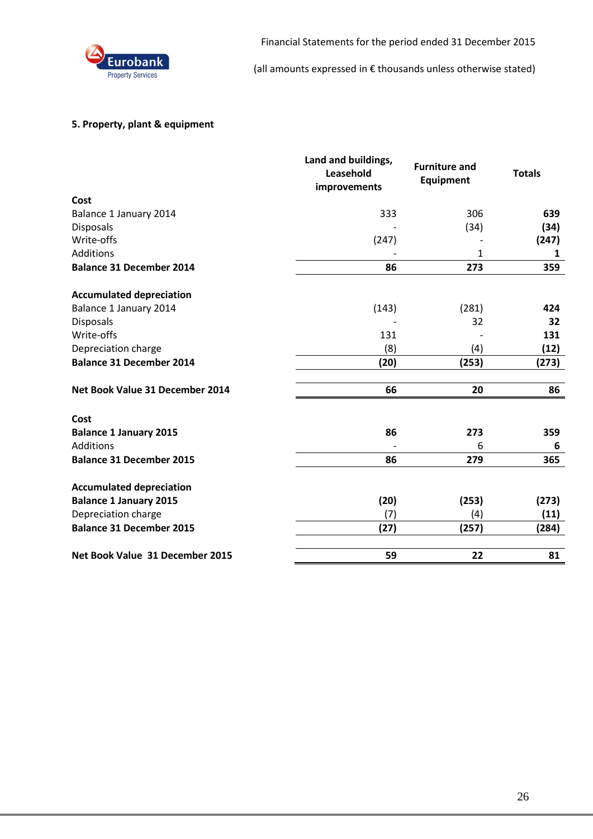

# **5. Property, plant & equipment**

|                                 | Land and buildings,<br>Leasehold<br>improvements | <b>Furniture and</b><br>Equipment | <b>Totals</b> |
|---------------------------------|--------------------------------------------------|-----------------------------------|---------------|
| Cost                            |                                                  |                                   |               |
| Balance 1 January 2014          | 333                                              | 306                               | 639           |
| Disposals                       |                                                  | (34)                              | (34)          |
| Write-offs                      | (247)                                            |                                   | (247)         |
| Additions                       |                                                  | 1                                 | 1             |
| <b>Balance 31 December 2014</b> | 86                                               | 273                               | 359           |
| <b>Accumulated depreciation</b> |                                                  |                                   |               |
| Balance 1 January 2014          | (143)                                            | (281)                             | 424           |
| <b>Disposals</b>                |                                                  | 32                                | 32            |
| Write-offs                      | 131                                              |                                   | 131           |
| Depreciation charge             | (8)                                              | (4)                               | (12)          |
| <b>Balance 31 December 2014</b> | (20)                                             | (253)                             | (273)         |
| Net Book Value 31 December 2014 | 66                                               | 20                                | 86            |
| Cost                            |                                                  |                                   |               |
| <b>Balance 1 January 2015</b>   | 86                                               | 273                               | 359           |
| Additions                       |                                                  | 6                                 | 6             |
| <b>Balance 31 December 2015</b> | 86                                               | 279                               | 365           |
| <b>Accumulated depreciation</b> |                                                  |                                   |               |
| <b>Balance 1 January 2015</b>   | (20)                                             | (253)                             | (273)         |
| Depreciation charge             | (7)                                              | (4)                               | (11)          |
| <b>Balance 31 December 2015</b> | (27)                                             | (257)                             | (284)         |
| Net Book Value 31 December 2015 | 59                                               | 22                                | 81            |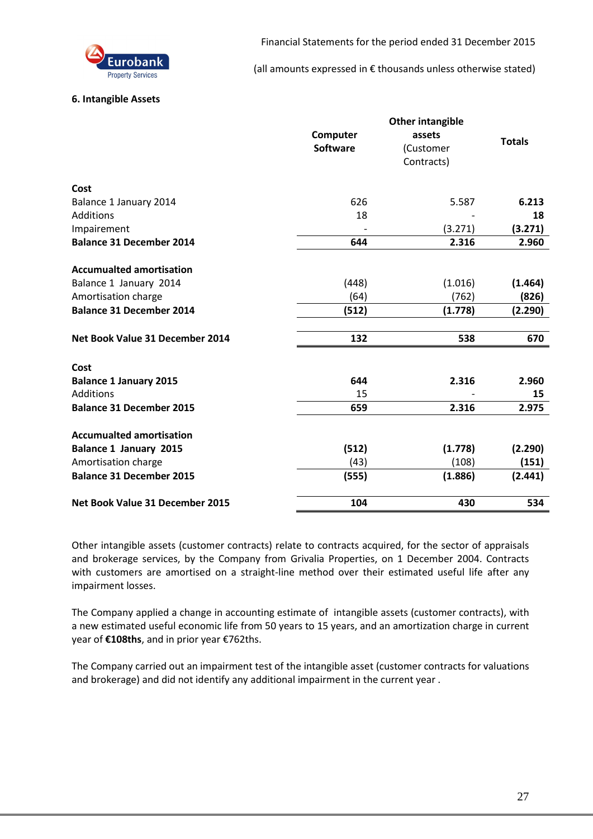

#### **6. Intangible Assets**

|                                 | <b>Other intangible</b>     |                                   |               |  |  |
|---------------------------------|-----------------------------|-----------------------------------|---------------|--|--|
|                                 | Computer<br><b>Software</b> | assets<br>(Customer<br>Contracts) | <b>Totals</b> |  |  |
| Cost                            |                             |                                   |               |  |  |
| Balance 1 January 2014          | 626                         | 5.587                             | 6.213         |  |  |
| <b>Additions</b>                | 18                          |                                   | 18            |  |  |
| Impairement                     |                             | (3.271)                           | (3.271)       |  |  |
| <b>Balance 31 December 2014</b> | 644                         | 2.316                             | 2.960         |  |  |
| <b>Accumualted amortisation</b> |                             |                                   |               |  |  |
| Balance 1 January 2014          | (448)                       | (1.016)                           | (1.464)       |  |  |
| Amortisation charge             | (64)                        | (762)                             | (826)         |  |  |
| <b>Balance 31 December 2014</b> | (512)                       | (1.778)                           | (2.290)       |  |  |
| Net Book Value 31 December 2014 | 132                         | 538                               | 670           |  |  |
| Cost                            |                             |                                   |               |  |  |
| <b>Balance 1 January 2015</b>   | 644                         | 2.316                             | 2.960         |  |  |
| <b>Additions</b>                | 15                          |                                   | 15            |  |  |
| <b>Balance 31 December 2015</b> | 659                         | 2.316                             | 2.975         |  |  |
| <b>Accumualted amortisation</b> |                             |                                   |               |  |  |
| <b>Balance 1 January 2015</b>   | (512)                       | (1.778)                           | (2.290)       |  |  |
| Amortisation charge             | (43)                        | (108)                             | (151)         |  |  |
| <b>Balance 31 December 2015</b> | (555)                       | (1.886)                           | (2.441)       |  |  |
| Net Book Value 31 December 2015 | 104                         | 430                               | 534           |  |  |

Other intangible assets (customer contracts) relate to contracts acquired, for the sector of appraisals and brokerage services, by the Company from Grivalia Properties, on 1 December 2004. Contracts with customers are amortised on a straight-line method over their estimated useful life after any impairment losses.

The Company applied a change in accounting estimate of intangible assets (customer contracts), with a new estimated useful economic life from 50 years to 15 years, and an amortization charge in current year of **€108ths**, and in prior year €762ths.

The Company carried out an impairment test of the intangible asset (customer contracts for valuations and brokerage) and did not identify any additional impairment in the current year .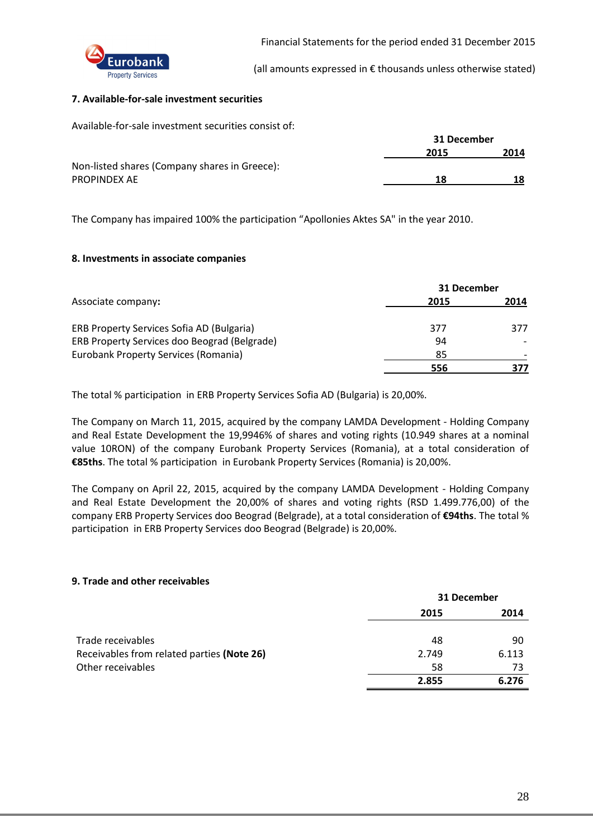

# **7. Available-for-sale investment securities**

Available-for-sale investment securities consist of:

| 2015 |      |
|------|------|
|      | 2014 |
|      |      |
| 18   | 18   |
|      |      |

The Company has impaired 100% the participation "Apollonies Aktes SA" in the year 2010.

#### **8. Investments in associate companies**

|                                              | 31 December |      |  |
|----------------------------------------------|-------------|------|--|
| Associate company:                           | 2015        | 2014 |  |
| ERB Property Services Sofia AD (Bulgaria)    | 377         | 377  |  |
| ERB Property Services doo Beograd (Belgrade) | 94          |      |  |
| Eurobank Property Services (Romania)         | 85          |      |  |
|                                              | 556         | 377  |  |

The total % participation in ERB Property Services Sofia AD (Bulgaria) is 20,00%.

The Company on March 11, 2015, acquired by the company LAMDA Development - Holding Company and Real Estate Development the 19,9946% of shares and voting rights (10.949 shares at a nominal value 10RON) of the company Eurobank Property Services (Romania), at a total consideration of **€85ths**. The total % participation in Eurobank Property Services (Romania) is 20,00%.

The Company on April 22, 2015, acquired by the company LAMDA Development - Holding Company and Real Estate Development the 20,00% of shares and voting rights (RSD 1.499.776,00) of the company ERB Property Services doo Beograd (Belgrade), at a total consideration of **€94ths**. The total % participation in ERB Property Services doo Beograd (Belgrade) is 20,00%.

#### **9. Trade and other receivables**

|                                            | 31 December |       |  |
|--------------------------------------------|-------------|-------|--|
|                                            | 2015        | 2014  |  |
|                                            |             |       |  |
| Trade receivables                          | 48          | 90    |  |
| Receivables from related parties (Note 26) | 2.749       | 6.113 |  |
| Other receivables                          | 58          | 73    |  |
|                                            | 2.855       | 6.276 |  |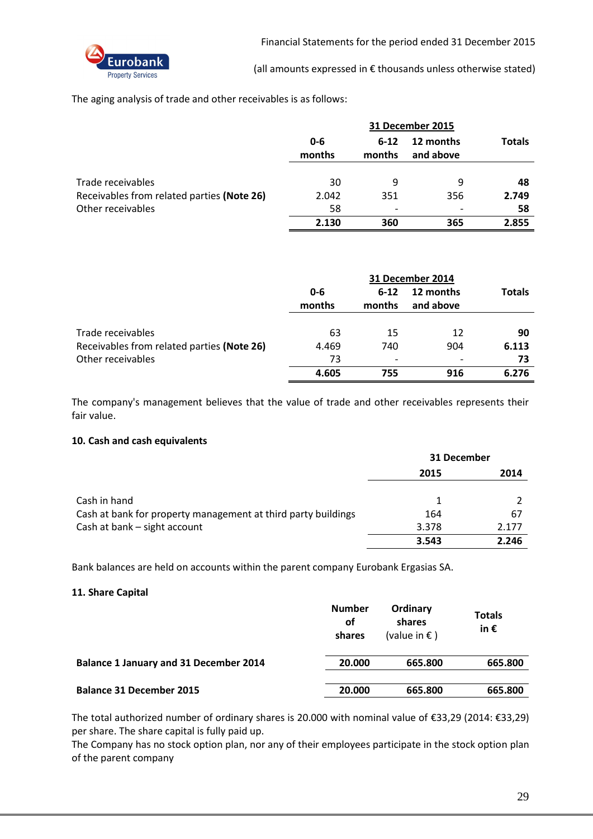

The aging analysis of trade and other receivables is as follows:

|                                            | <b>31 December 2015</b> |                          |                        |               |
|--------------------------------------------|-------------------------|--------------------------|------------------------|---------------|
|                                            | $0 - 6$<br>months       | $6 - 12$<br>months       | 12 months<br>and above | <b>Totals</b> |
| Trade receivables                          | 30                      | 9                        | 9                      | 48            |
| Receivables from related parties (Note 26) | 2.042                   | 351                      | 356                    | 2.749         |
| Other receivables                          | 58                      | $\overline{\phantom{a}}$ |                        | 58            |
|                                            | 2.130                   | 360                      | 365                    | 2.855         |

|                                            | 31 December 2014 |                          |           |               |
|--------------------------------------------|------------------|--------------------------|-----------|---------------|
|                                            | $0 - 6$          | $6 - 12$                 | 12 months | <b>Totals</b> |
|                                            | months           | months                   | and above |               |
| Trade receivables                          | 63               | 15                       | 12        | 90            |
| Receivables from related parties (Note 26) | 4.469            | 740                      | 904       | 6.113         |
| Other receivables                          | 73               | $\overline{\phantom{a}}$ |           | 73            |
|                                            | 4.605            | 755                      | 916       | 6.276         |

The company's management believes that the value of trade and other receivables represents their fair value.

#### **10. Cash and cash equivalents**

|                                                               | 31 December |       |
|---------------------------------------------------------------|-------------|-------|
|                                                               | 2015        | 2014  |
|                                                               |             |       |
| Cash in hand                                                  | 1.          |       |
| Cash at bank for property management at third party buildings | 164         | 67    |
| Cash at bank – sight account                                  | 3.378       | 2.177 |
|                                                               | 3.543       | 2.246 |

Bank balances are held on accounts within the parent company Eurobank Ergasias SA.

#### **11. Share Capital**

|                                               | <b>Number</b><br>οf<br>shares | Ordinary<br>shares<br>(value in €) | <b>Totals</b><br>in $\epsilon$ |
|-----------------------------------------------|-------------------------------|------------------------------------|--------------------------------|
| <b>Balance 1 January and 31 December 2014</b> | 20,000                        | 665.800                            | 665.800                        |
| <b>Balance 31 December 2015</b>               | 20,000                        | 665.800                            | 665.800                        |

The total authorized number of ordinary shares is 20.000 with nominal value of €33,29 (2014: €33,29) per share. The share capital is fully paid up.

The Company has no stock option plan, nor any of their employees participate in the stock option plan of the parent company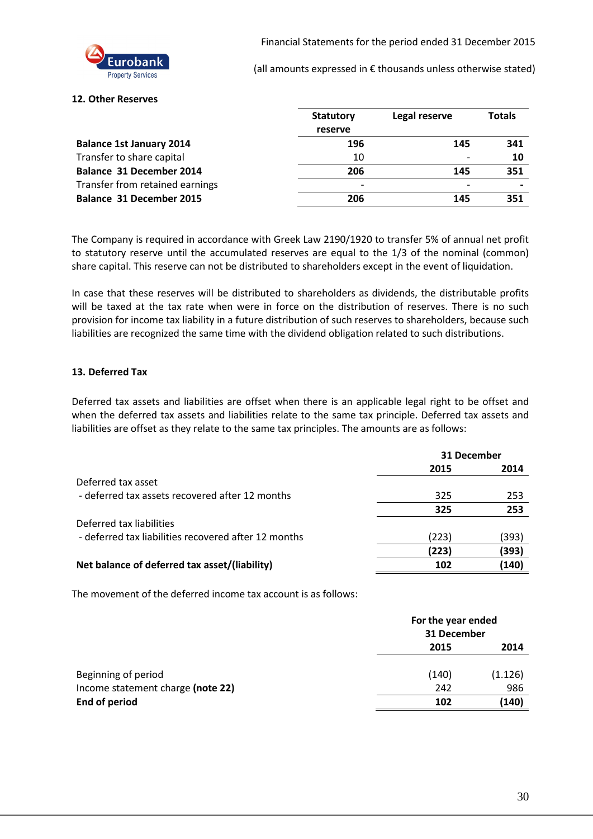

#### **12. Other Reserves**

|                                 | <b>Statutory</b> | Legal reserve            | <b>Totals</b> |
|---------------------------------|------------------|--------------------------|---------------|
|                                 | reserve          |                          |               |
| <b>Balance 1st January 2014</b> | 196              | 145                      | 341           |
| Transfer to share capital       | 10               | $\overline{\phantom{a}}$ | 10            |
| Balance 31 December 2014        | 206              | 145                      | 351           |
| Transfer from retained earnings | -                | $\overline{\phantom{a}}$ |               |
| Balance 31 December 2015        | 206              | 145                      | 351           |

The Company is required in accordance with Greek Law 2190/1920 to transfer 5% of annual net profit to statutory reserve until the accumulated reserves are equal to the 1/3 of the nominal (common) share capital. This reserve can not be distributed to shareholders except in the event of liquidation.

In case that these reserves will be distributed to shareholders as dividends, the distributable profits will be taxed at the tax rate when were in force on the distribution of reserves. There is no such provision for income tax liability in a future distribution of such reserves to shareholders, because such liabilities are recognized the same time with the dividend obligation related to such distributions.

#### **13. Deferred Tax**

Deferred tax assets and liabilities are offset when there is an applicable legal right to be offset and when the deferred tax assets and liabilities relate to the same tax principle. Deferred tax assets and liabilities are offset as they relate to the same tax principles. The amounts are as follows:

|                                                      | 31 December |       |
|------------------------------------------------------|-------------|-------|
|                                                      | 2015        | 2014  |
| Deferred tax asset                                   |             |       |
| - deferred tax assets recovered after 12 months      | 325         | 253   |
|                                                      | 325         | 253   |
| Deferred tax liabilities                             |             |       |
| - deferred tax liabilities recovered after 12 months | (223)       | (393) |
|                                                      | (223)       | (393) |
| Net balance of deferred tax asset/(liability)        | 102         | (140) |

The movement of the deferred income tax account is as follows:

|                                                          | For the year ended<br>31 December |                |
|----------------------------------------------------------|-----------------------------------|----------------|
|                                                          | 2015                              | 2014           |
| Beginning of period<br>Income statement charge (note 22) | (140)<br>242                      | (1.126)<br>986 |
| End of period                                            | 102                               | (140)          |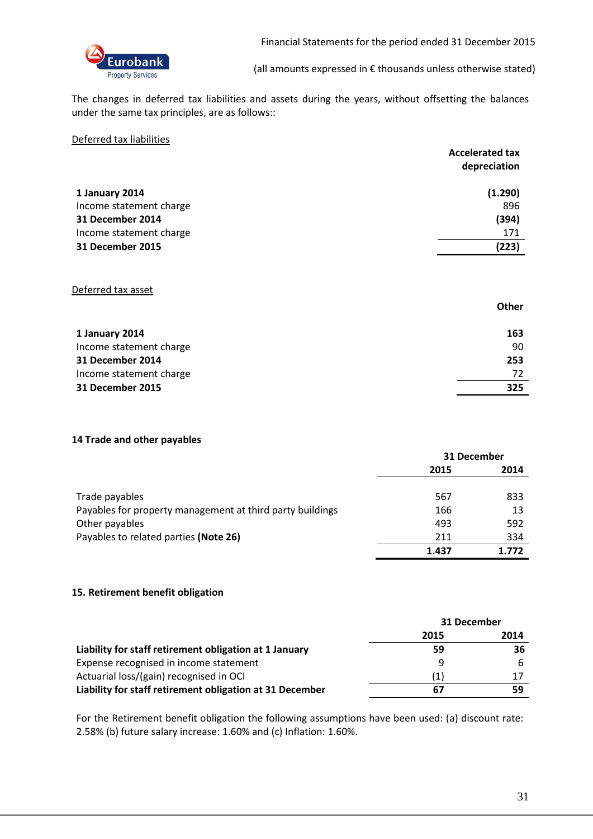

The changes in deferred tax liabilities and assets during the years, without offsetting the balances under the same tax principles, are as follows::

## Deferred tax liabilities

|                         | <b>Accelerated tax</b><br>depreciation |
|-------------------------|----------------------------------------|
|                         |                                        |
| 1 January 2014          | (1.290)                                |
| Income statement charge | 896                                    |
| 31 December 2014        | (394)                                  |
| Income statement charge | 171                                    |
| 31 December 2015        | (223)                                  |
|                         |                                        |

#### Deferred tax asset

|                         | Other |
|-------------------------|-------|
| 1 January 2014          | 163   |
| Income statement charge | 90    |
| 31 December 2014        | 253   |
| Income statement charge | 72    |
| 31 December 2015        | 325   |

#### **14 Trade and other payables**

|                                                           | 31 December |       |
|-----------------------------------------------------------|-------------|-------|
|                                                           | 2015        | 2014  |
|                                                           |             |       |
| Trade payables                                            | 567         | 833   |
| Payables for property management at third party buildings | 166         | 13    |
| Other payables                                            | 493         | 592   |
| Payables to related parties (Note 26)                     | 211         | 334   |
|                                                           | 1.437       | 1.772 |

#### **15. Retirement benefit obligation**

|                                                          | 31 December |      |
|----------------------------------------------------------|-------------|------|
|                                                          | 2015        | 2014 |
| Liability for staff retirement obligation at 1 January   | 59          | 36   |
| Expense recognised in income statement                   | q           | 6    |
| Actuarial loss/(gain) recognised in OCI                  | (1)         | 17   |
| Liability for staff retirement obligation at 31 December | 67          | 59   |

For the Retirement benefit obligation the following assumptions have been used: (a) discount rate: 2.58% (b) future salary increase: 1.60% and (c) Inflation: 1.60%.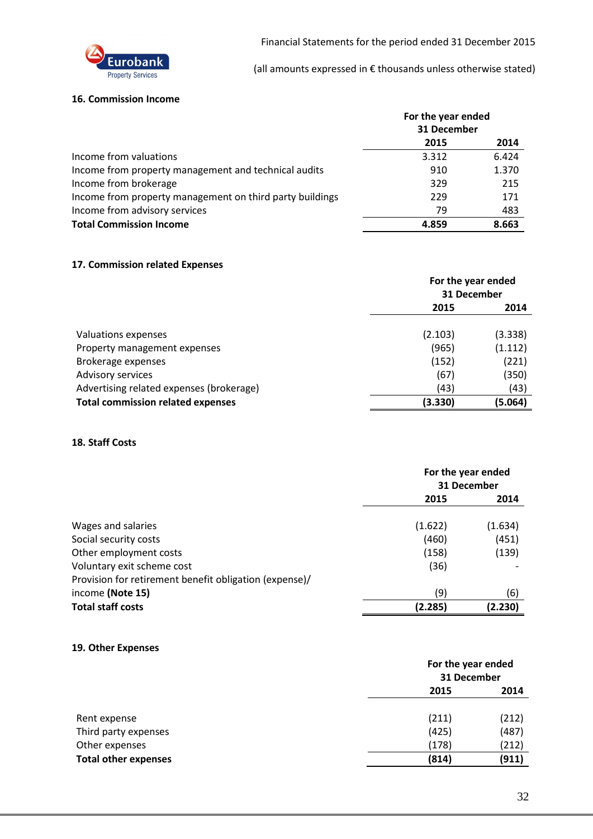

#### **16. Commission Income**

|                                                          | For the year ended<br>31 December |       |
|----------------------------------------------------------|-----------------------------------|-------|
|                                                          | 2015                              | 2014  |
| Income from valuations                                   | 3.312                             | 6.424 |
| Income from property management and technical audits     | 910                               | 1.370 |
| Income from brokerage                                    | 329                               | 215   |
| Income from property management on third party buildings | 229                               | 171   |
| Income from advisory services                            | 79                                | 483   |
| <b>Total Commission Income</b>                           | 4.859                             | 8.663 |

#### **17. Commission related Expenses**

|                                          | For the year ended<br>31 December |         |
|------------------------------------------|-----------------------------------|---------|
|                                          | 2015                              | 2014    |
| Valuations expenses                      | (2.103)                           | (3.338) |
| Property management expenses             | (965)                             | (1.112) |
| Brokerage expenses                       | (152)                             | (221)   |
| Advisory services                        | (67)                              | (350)   |
| Advertising related expenses (brokerage) | (43)                              | (43)    |
| <b>Total commission related expenses</b> | (3.330)                           | (5.064) |

#### **18. Staff Costs**

|                                                        | For the year ended<br>31 December |         |
|--------------------------------------------------------|-----------------------------------|---------|
|                                                        | 2015                              | 2014    |
| Wages and salaries                                     | (1.622)                           | (1.634) |
| Social security costs                                  | (460)                             | (451)   |
| Other employment costs                                 | (158)                             | (139)   |
| Voluntary exit scheme cost                             | (36)                              |         |
| Provision for retirement benefit obligation (expense)/ |                                   |         |
| income (Note 15)                                       | (9)                               | (6)     |
| <b>Total staff costs</b>                               | (2.285)                           | (2.230) |

#### **19. Other Expenses**

|                             | For the year ended<br>31 December |       |
|-----------------------------|-----------------------------------|-------|
|                             | 2015                              | 2014  |
|                             |                                   |       |
| Rent expense                | (211)                             | (212) |
| Third party expenses        | (425)                             | (487) |
| Other expenses              | (178)                             | (212) |
| <b>Total other expenses</b> | (814)                             | (911) |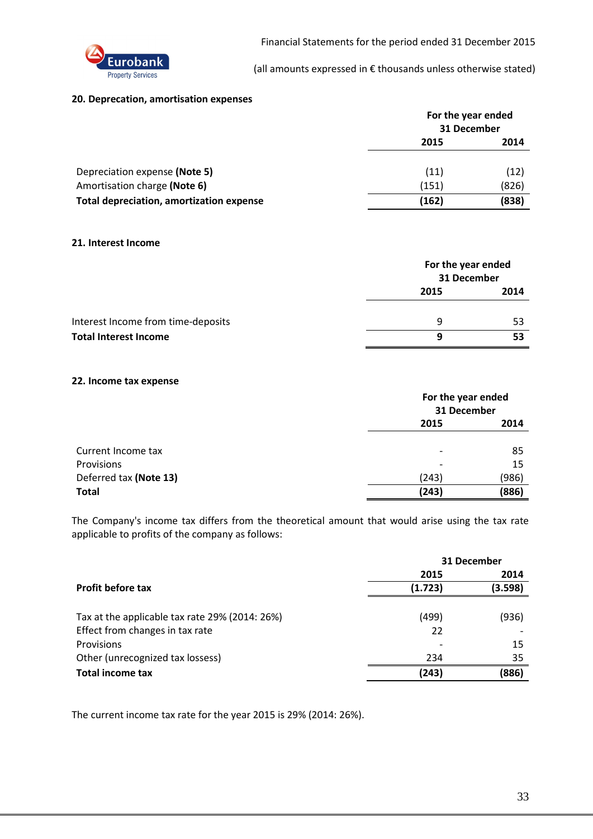

#### **20. Deprecation, amortisation expenses**

|                                                 | For the year ended<br>31 December |       |
|-------------------------------------------------|-----------------------------------|-------|
|                                                 | 2015                              | 2014  |
| Depreciation expense (Note 5)                   | (11)                              | (12)  |
| Amortisation charge (Note 6)                    | (151)                             | (826) |
| <b>Total depreciation, amortization expense</b> | (162)                             | (838) |

#### **21. Interest Income**

|                                    | For the year ended<br>31 December |      |
|------------------------------------|-----------------------------------|------|
|                                    | 2015                              | 2014 |
| Interest Income from time-deposits | q                                 | 53   |
| <b>Total Interest Income</b>       | 9                                 | 53   |

#### **22. Income tax expense**

|                        | For the year ended<br>31 December |       |
|------------------------|-----------------------------------|-------|
|                        | 2015                              | 2014  |
| Current Income tax     | $\overline{\phantom{a}}$          | 85    |
| Provisions             |                                   | 15    |
| Deferred tax (Note 13) | (243)                             | (986) |
| <b>Total</b>           | (243)                             | (886) |

The Company's income tax differs from the theoretical amount that would arise using the tax rate applicable to profits of the company as follows:

|                                                | 31 December |         |
|------------------------------------------------|-------------|---------|
|                                                | 2015        | 2014    |
| <b>Profit before tax</b>                       | (1.723)     | (3.598) |
|                                                |             |         |
| Tax at the applicable tax rate 29% (2014: 26%) | (499)       | (936)   |
| Effect from changes in tax rate                | 22          |         |
| Provisions                                     |             | 15      |
| Other (unrecognized tax lossess)               | 234         | 35      |
| <b>Total income tax</b>                        | (243)       | (886)   |

The current income tax rate for the year 2015 is 29% (2014: 26%).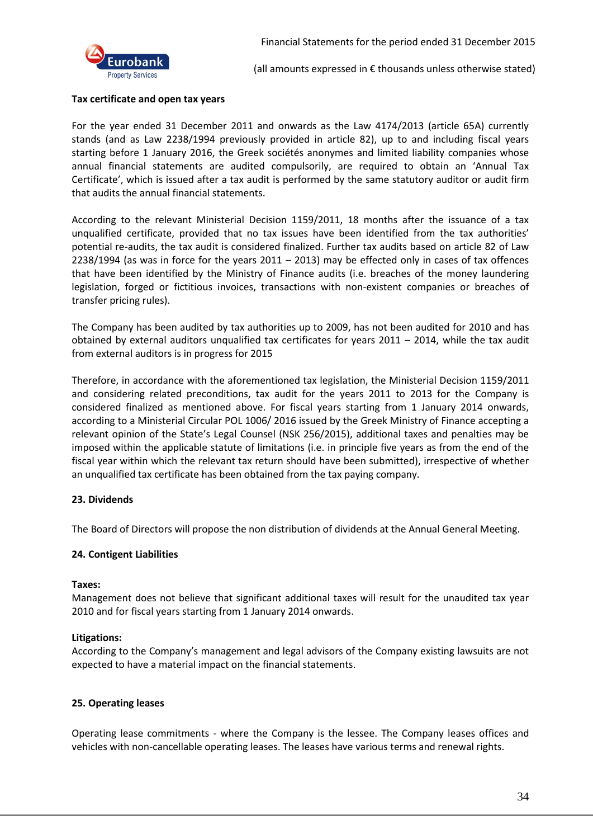

#### **Tax certificate and open tax years**

For the year ended 31 December 2011 and onwards as the Law 4174/2013 (article 65A) currently stands (and as Law 2238/1994 previously provided in article 82), up to and including fiscal years starting before 1 January 2016, the Greek sociétés anonymes and limited liability companies whose annual financial statements are audited compulsorily, are required to obtain an 'Annual Tax Certificate', which is issued after a tax audit is performed by the same statutory auditor or audit firm that audits the annual financial statements.

According to the relevant Ministerial Decision 1159/2011, 18 months after the issuance of a tax unqualified certificate, provided that no tax issues have been identified from the tax authorities' potential re-audits, the tax audit is considered finalized. Further tax audits based on article 82 of Law  $2238/1994$  (as was in force for the years  $2011 - 2013$ ) may be effected only in cases of tax offences that have been identified by the Ministry of Finance audits (i.e. breaches of the money laundering legislation, forged or fictitious invoices, transactions with non-existent companies or breaches of transfer pricing rules).

The Company has been audited by tax authorities up to 2009, has not been audited for 2010 and has obtained by external auditors unqualified tax certificates for years 2011 – 2014, while the tax audit from external auditors is in progress for 2015

Therefore, in accordance with the aforementioned tax legislation, the Ministerial Decision 1159/2011 and considering related preconditions, tax audit for the years 2011 to 2013 for the Company is considered finalized as mentioned above. For fiscal years starting from 1 January 2014 onwards, according to a Ministerial Circular POL 1006/ 2016 issued by the Greek Ministry of Finance accepting a relevant opinion of the State's Legal Counsel (NSK 256/2015), additional taxes and penalties may be imposed within the applicable statute of limitations (i.e. in principle five years as from the end of the fiscal year within which the relevant tax return should have been submitted), irrespective of whether an unqualified tax certificate has been obtained from the tax paying company.

#### **23. Dividends**

The Board of Directors will propose the non distribution of dividends at the Annual General Meeting.

#### **24. Contigent Liabilities**

#### **Taxes:**

Management does not believe that significant additional taxes will result for the unaudited tax year 2010 and for fiscal years starting from 1 January 2014 onwards.

#### **Litigations:**

According to the Company's management and legal advisors of the Company existing lawsuits are not expected to have a material impact on the financial statements.

#### **25. Operating leases**

Operating lease commitments - where the Company is the lessee. The Company leases offices and vehicles with non-cancellable operating leases. The leases have various terms and renewal rights.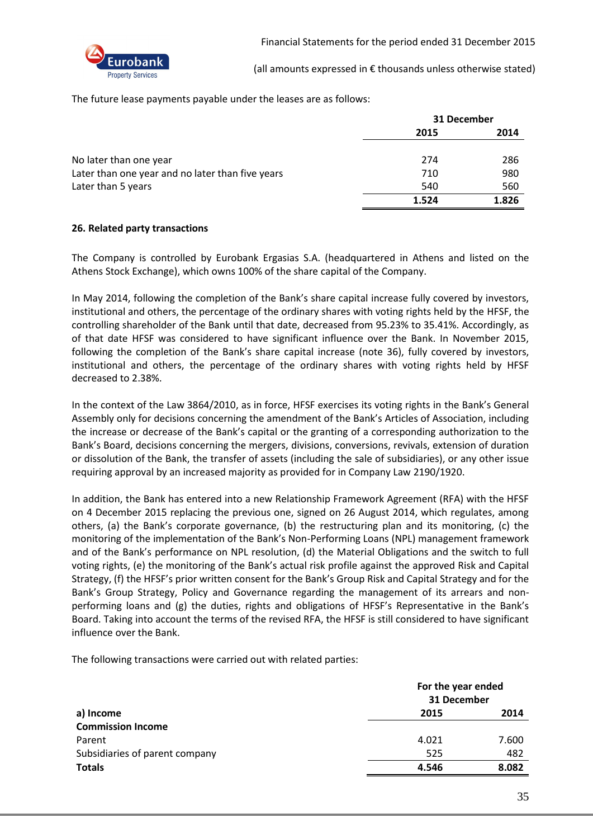The future lease payments payable under the leases are as follows:

|                                                  | 31 December |       |
|--------------------------------------------------|-------------|-------|
|                                                  | 2015        | 2014  |
|                                                  |             |       |
| No later than one year                           | 274         | 286   |
| Later than one year and no later than five years | 710         | 980   |
| Later than 5 years                               | 540         | 560   |
|                                                  | 1.524       | 1.826 |

#### **26. Related party transactions**

The Company is controlled by Eurobank Ergasias S.A. (headquartered in Athens and listed on the Athens Stock Exchange), which owns 100% of the share capital of the Company.

In May 2014, following the completion of the Bank's share capital increase fully covered by investors, institutional and others, the percentage of the ordinary shares with voting rights held by the HFSF, the controlling shareholder of the Bank until that date, decreased from 95.23% to 35.41%. Accordingly, as of that date HFSF was considered to have significant influence over the Bank. In November 2015, following the completion of the Bank's share capital increase (note 36), fully covered by investors, institutional and others, the percentage of the ordinary shares with voting rights held by HFSF decreased to 2.38%.

In the context of the Law 3864/2010, as in force, HFSF exercises its voting rights in the Bank's General Assembly only for decisions concerning the amendment of the Bank's Articles of Association, including the increase or decrease of the Bank's capital or the granting of a corresponding authorization to the Bank's Board, decisions concerning the mergers, divisions, conversions, revivals, extension of duration or dissolution of the Bank, the transfer of assets (including the sale of subsidiaries), or any other issue requiring approval by an increased majority as provided for in Company Law 2190/1920.

In addition, the Bank has entered into a new Relationship Framework Agreement (RFA) with the HFSF on 4 December 2015 replacing the previous one, signed on 26 August 2014, which regulates, among others, (a) the Bank's corporate governance, (b) the restructuring plan and its monitoring, (c) the monitoring of the implementation of the Bank's Non-Performing Loans (NPL) management framework and of the Bank's performance on NPL resolution, (d) the Material Obligations and the switch to full voting rights, (e) the monitoring of the Bank's actual risk profile against the approved Risk and Capital Strategy, (f) the HFSF's prior written consent for the Bank's Group Risk and Capital Strategy and for the Bank's Group Strategy, Policy and Governance regarding the management of its arrears and nonperforming loans and (g) the duties, rights and obligations of HFSF's Representative in the Bank's Board. Taking into account the terms of the revised RFA, the HFSF is still considered to have significant influence over the Bank.

The following transactions were carried out with related parties:

|                                | For the year ended<br>31 December |       |
|--------------------------------|-----------------------------------|-------|
| a) Income                      | 2015                              | 2014  |
| <b>Commission Income</b>       |                                   |       |
| Parent                         | 4.021                             | 7.600 |
| Subsidiaries of parent company | 525                               | 482   |
| <b>Totals</b>                  | 4.546                             | 8.082 |